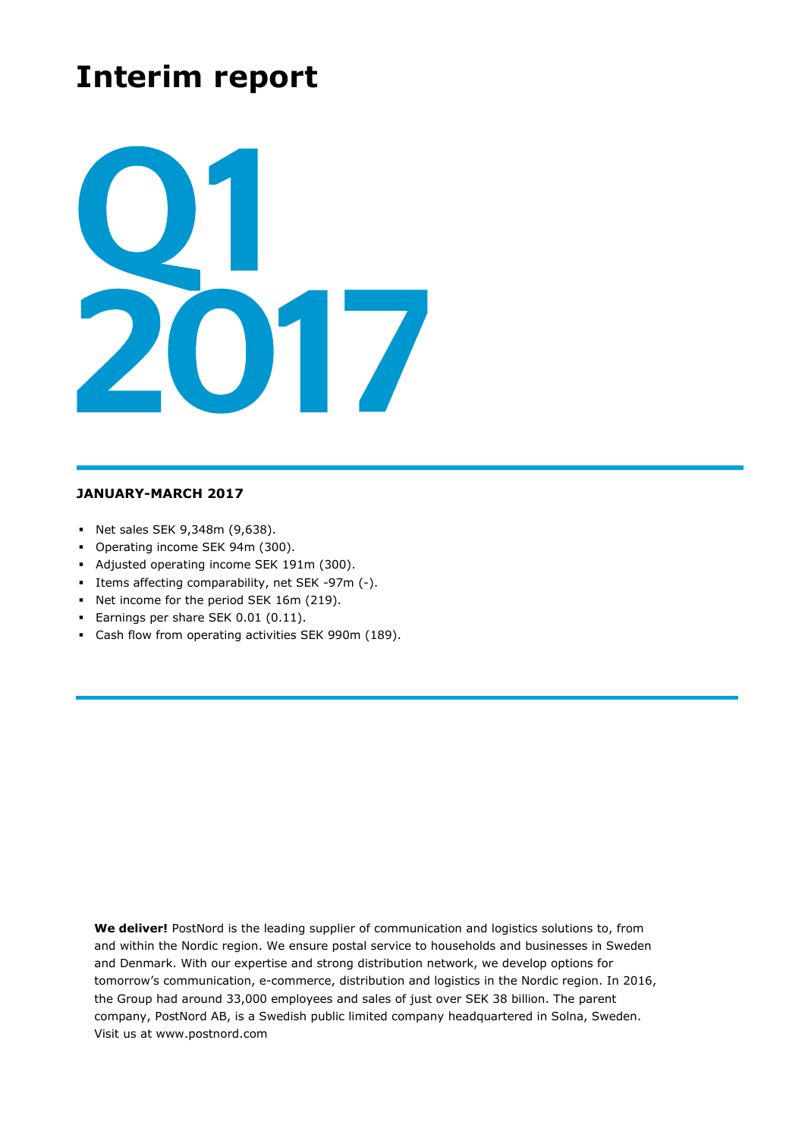# **Interim report**



## **JANUARY-MARCH 2017**

- Net sales SEK 9,348m (9,638).
- Operating income SEK 94m (300).
- Adjusted operating income SEK 191m (300).
- Items affecting comparability, net SEK -97m (-).
- Net income for the period SEK 16m (219).
- **Earnings per share SEK 0.01 (0.11).**
- Cash flow from operating activities SEK 990m (189).

**We deliver!** PostNord is the leading supplier of communication and logistics solutions to, from and within the Nordic region. We ensure postal service to households and businesses in Sweden and Denmark. With our expertise and strong distribution network, we develop options for tomorrow's communication, e-commerce, distribution and logistics in the Nordic region. In 2016, the Group had around 33,000 employees and sales of just over SEK 38 billion. The parent company, PostNord AB, is a Swedish public limited company headquartered in Solna, Sweden. Visit us at www.postnord.com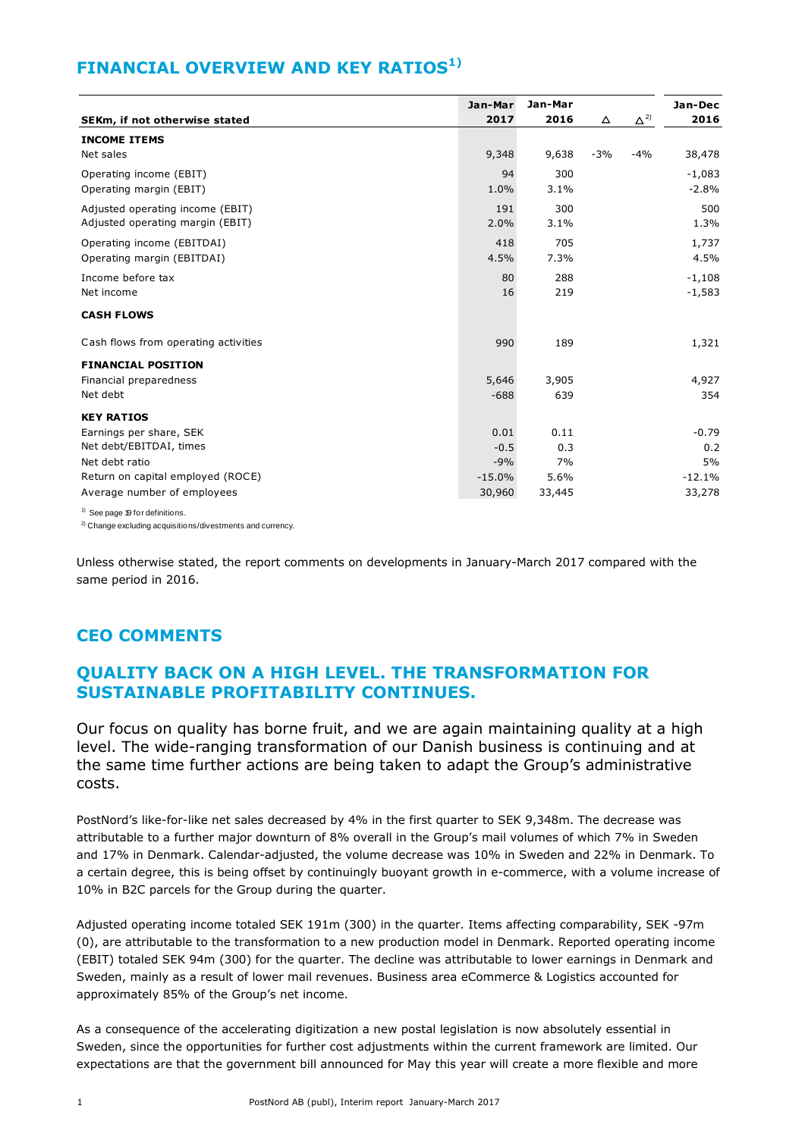# **FINANCIAL OVERVIEW AND KEY RATIOS1)**

|                                            | Jan-Mar  | Jan-Mar |       |               | Jan-Dec  |
|--------------------------------------------|----------|---------|-------|---------------|----------|
| SEKm, if not otherwise stated              | 2017     | 2016    | △     | $\Delta^{2)}$ | 2016     |
| <b>INCOME ITEMS</b>                        |          |         |       |               |          |
| Net sales                                  | 9,348    | 9,638   | $-3%$ | $-4%$         | 38,478   |
| Operating income (EBIT)                    | 94       | 300     |       |               | $-1,083$ |
| Operating margin (EBIT)                    | 1.0%     | 3.1%    |       |               | $-2.8%$  |
| Adjusted operating income (EBIT)           | 191      | 300     |       |               | 500      |
| Adjusted operating margin (EBIT)           | 2.0%     | 3.1%    |       |               | 1.3%     |
| Operating income (EBITDAI)                 | 418      | 705     |       |               | 1,737    |
| Operating margin (EBITDAI)                 | 4.5%     | 7.3%    |       |               | 4.5%     |
| Income before tax                          | 80       | 288     |       |               | $-1,108$ |
| Net income                                 | 16       | 219     |       |               | $-1,583$ |
| <b>CASH FLOWS</b>                          |          |         |       |               |          |
| Cash flows from operating activities       | 990      | 189     |       |               | 1,321    |
| <b>FINANCIAL POSITION</b>                  |          |         |       |               |          |
| Financial preparedness                     | 5,646    | 3,905   |       |               | 4,927    |
| Net debt                                   | $-688$   | 639     |       |               | 354      |
| <b>KEY RATIOS</b>                          |          |         |       |               |          |
| Earnings per share, SEK                    | 0.01     | 0.11    |       |               | $-0.79$  |
| Net debt/EBITDAI, times                    | $-0.5$   | 0.3     |       |               | 0.2      |
| Net debt ratio                             | $-9%$    | 7%      |       |               | 5%       |
| Return on capital employed (ROCE)          | $-15.0%$ | 5.6%    |       |               | $-12.1%$ |
| Average number of employees                | 30,960   | 33,445  |       |               | 33,278   |
| $\frac{1}{1}$ See page 19 for definitions. |          |         |       |               |          |

<sup>2)</sup> Change excluding acquisitions/divestments and currency.

Unless otherwise stated, the report comments on developments in January-March 2017 compared with the same period in 2016.

# **CEO COMMENTS**

# **QUALITY BACK ON A HIGH LEVEL. THE TRANSFORMATION FOR SUSTAINABLE PROFITABILITY CONTINUES.**

Our focus on quality has borne fruit, and we are again maintaining quality at a high level. The wide-ranging transformation of our Danish business is continuing and at the same time further actions are being taken to adapt the Group's administrative costs.

PostNord's like-for-like net sales decreased by 4% in the first quarter to SEK 9,348m. The decrease was attributable to a further major downturn of 8% overall in the Group's mail volumes of which 7% in Sweden and 17% in Denmark. Calendar-adjusted, the volume decrease was 10% in Sweden and 22% in Denmark. To a certain degree, this is being offset by continuingly buoyant growth in e-commerce, with a volume increase of 10% in B2C parcels for the Group during the quarter.

Adjusted operating income totaled SEK 191m (300) in the quarter. Items affecting comparability, SEK -97m (0), are attributable to the transformation to a new production model in Denmark. Reported operating income (EBIT) totaled SEK 94m (300) for the quarter. The decline was attributable to lower earnings in Denmark and Sweden, mainly as a result of lower mail revenues. Business area eCommerce & Logistics accounted for approximately 85% of the Group's net income.

As a consequence of the accelerating digitization a new postal legislation is now absolutely essential in Sweden, since the opportunities for further cost adjustments within the current framework are limited. Our expectations are that the government bill announced for May this year will create a more flexible and more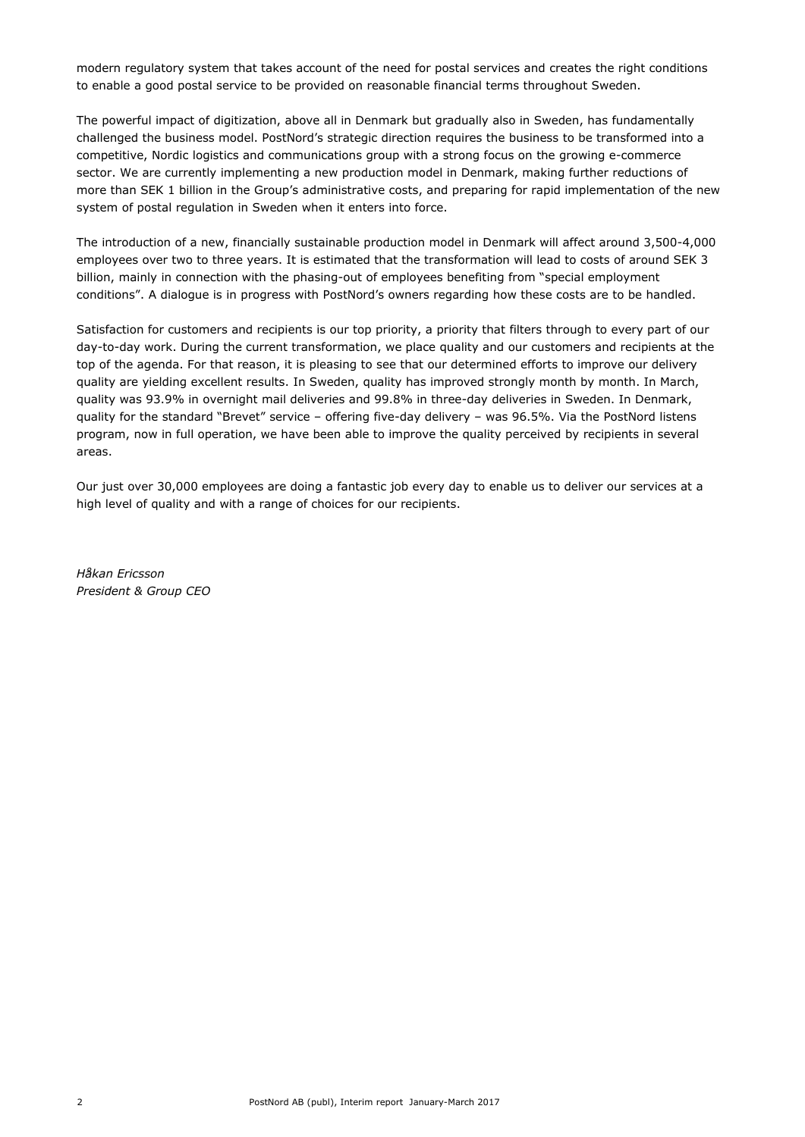modern regulatory system that takes account of the need for postal services and creates the right conditions to enable a good postal service to be provided on reasonable financial terms throughout Sweden.

The powerful impact of digitization, above all in Denmark but gradually also in Sweden, has fundamentally challenged the business model. PostNord's strategic direction requires the business to be transformed into a competitive, Nordic logistics and communications group with a strong focus on the growing e-commerce sector. We are currently implementing a new production model in Denmark, making further reductions of more than SEK 1 billion in the Group's administrative costs, and preparing for rapid implementation of the new system of postal regulation in Sweden when it enters into force.

The introduction of a new, financially sustainable production model in Denmark will affect around 3,500-4,000 employees over two to three years. It is estimated that the transformation will lead to costs of around SEK 3 billion, mainly in connection with the phasing-out of employees benefiting from "special employment conditions". A dialogue is in progress with PostNord's owners regarding how these costs are to be handled.

Satisfaction for customers and recipients is our top priority, a priority that filters through to every part of our day-to-day work. During the current transformation, we place quality and our customers and recipients at the top of the agenda. For that reason, it is pleasing to see that our determined efforts to improve our delivery quality are yielding excellent results. In Sweden, quality has improved strongly month by month. In March, quality was 93.9% in overnight mail deliveries and 99.8% in three-day deliveries in Sweden. In Denmark, quality for the standard "Brevet" service – offering five-day delivery – was 96.5%. Via the PostNord listens program, now in full operation, we have been able to improve the quality perceived by recipients in several areas.

Our just over 30,000 employees are doing a fantastic job every day to enable us to deliver our services at a high level of quality and with a range of choices for our recipients.

*Håkan Ericsson President & Group CEO*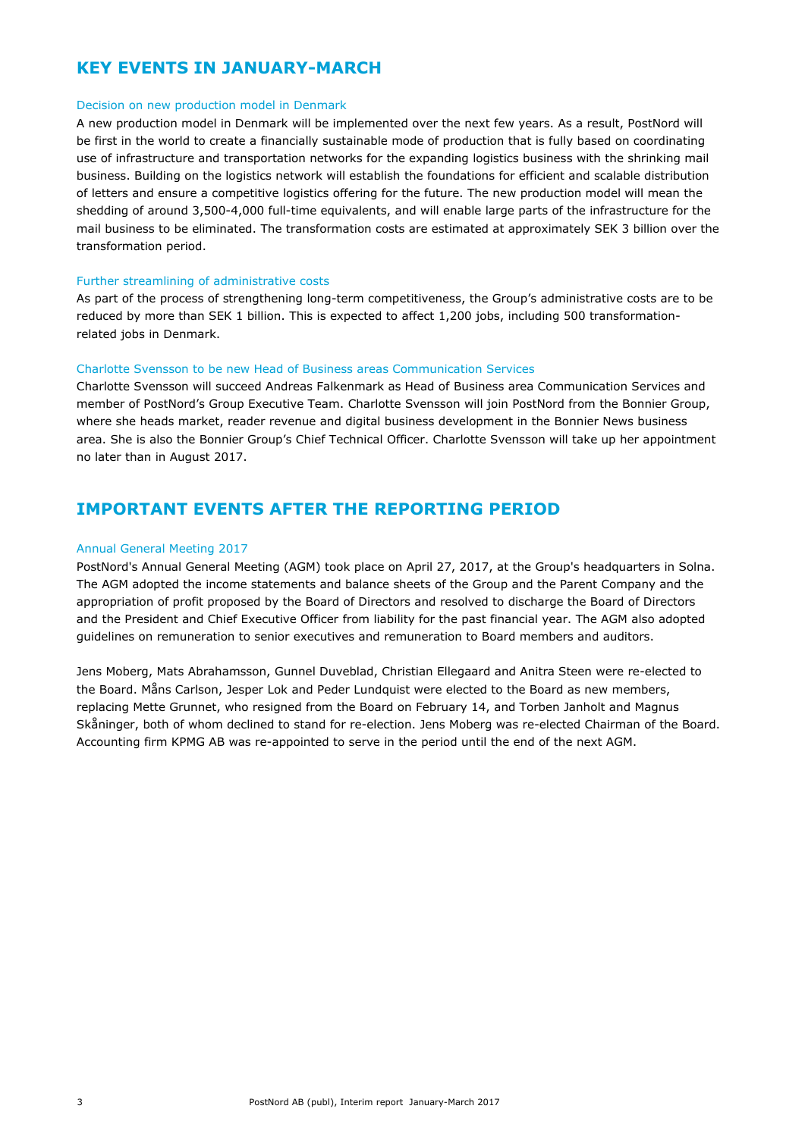# **KEY EVENTS IN JANUARY-MARCH**

#### Decision on new production model in Denmark

A new production model in Denmark will be implemented over the next few years. As a result, PostNord will be first in the world to create a financially sustainable mode of production that is fully based on coordinating use of infrastructure and transportation networks for the expanding logistics business with the shrinking mail business. Building on the logistics network will establish the foundations for efficient and scalable distribution of letters and ensure a competitive logistics offering for the future. The new production model will mean the shedding of around 3,500-4,000 full-time equivalents, and will enable large parts of the infrastructure for the mail business to be eliminated. The transformation costs are estimated at approximately SEK 3 billion over the transformation period.

#### Further streamlining of administrative costs

As part of the process of strengthening long-term competitiveness, the Group's administrative costs are to be reduced by more than SEK 1 billion. This is expected to affect 1,200 jobs, including 500 transformationrelated jobs in Denmark.

#### Charlotte Svensson to be new Head of Business areas Communication Services

Charlotte Svensson will succeed Andreas Falkenmark as Head of Business area Communication Services and member of PostNord's Group Executive Team. Charlotte Svensson will join PostNord from the Bonnier Group, where she heads market, reader revenue and digital business development in the Bonnier News business area. She is also the Bonnier Group's Chief Technical Officer. Charlotte Svensson will take up her appointment no later than in August 2017.

# **IMPORTANT EVENTS AFTER THE REPORTING PERIOD**

#### Annual General Meeting 2017

PostNord's Annual General Meeting (AGM) took place on April 27, 2017, at the Group's headquarters in Solna. The AGM adopted the income statements and balance sheets of the Group and the Parent Company and the appropriation of profit proposed by the Board of Directors and resolved to discharge the Board of Directors and the President and Chief Executive Officer from liability for the past financial year. The AGM also adopted guidelines on remuneration to senior executives and remuneration to Board members and auditors.

Jens Moberg, Mats Abrahamsson, Gunnel Duveblad, Christian Ellegaard and Anitra Steen were re-elected to the Board. Måns Carlson, Jesper Lok and Peder Lundquist were elected to the Board as new members, replacing Mette Grunnet, who resigned from the Board on February 14, and Torben Janholt and Magnus Skåninger, both of whom declined to stand for re-election. Jens Moberg was re-elected Chairman of the Board. Accounting firm KPMG AB was re-appointed to serve in the period until the end of the next AGM.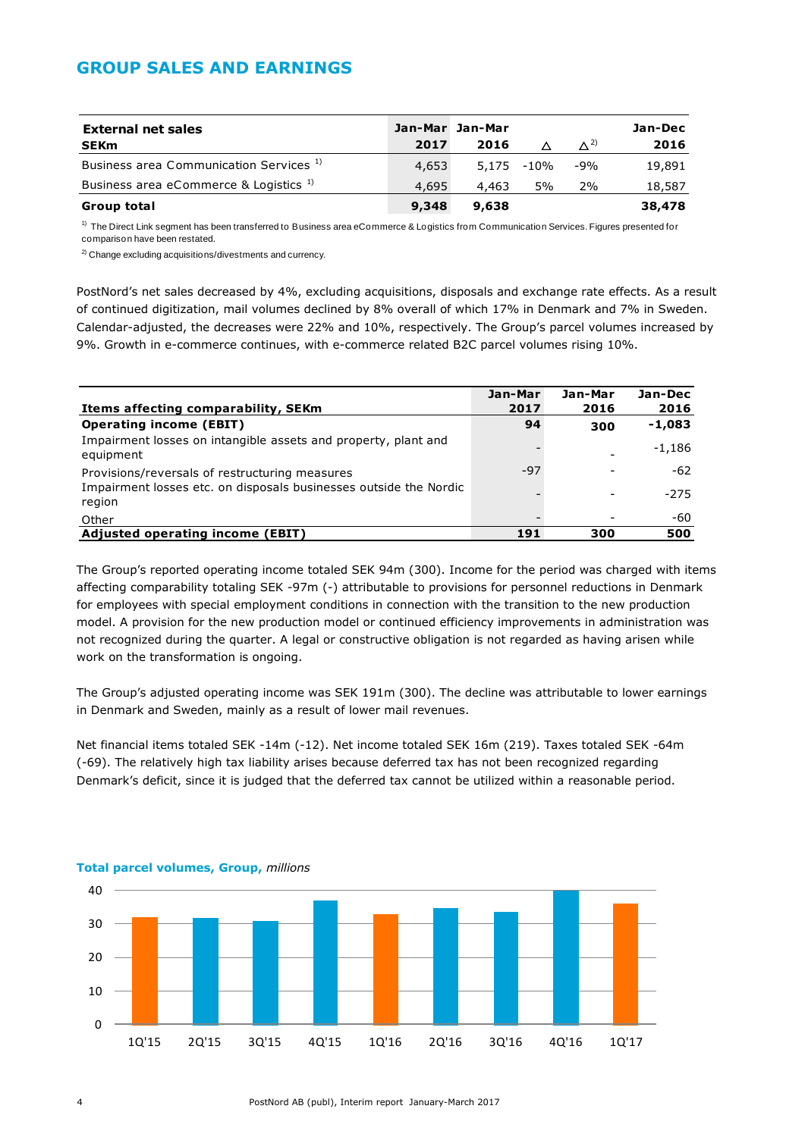# **GROUP SALES AND EARNINGS**

| <b>External net sales</b><br><b>SEKm</b>           | 2017  | Jan-Mar Jan-Mar<br>2016 |            | $\Lambda^{2}$ | Jan-Dec<br>2016 |
|----------------------------------------------------|-------|-------------------------|------------|---------------|-----------------|
| Business area Communication Services <sup>1)</sup> | 4,653 |                         | 5,175 -10% | -9%           | 19,891          |
| Business area eCommerce & Logistics <sup>1)</sup>  | 4,695 | 4.463                   | 5%         | 2%            | 18,587          |
| Group total                                        | 9,348 | 9,638                   |            |               | 38,478          |

 $1)$  The Direct Link segment has been transferred to Business area eCommerce & Logistics from Communication Services. Figures presented for comparison have been restated.

<sup>2)</sup> Change excluding acquisitions/divestments and currency.

PostNord's net sales decreased by 4%, excluding acquisitions, disposals and exchange rate effects. As a result of continued digitization, mail volumes declined by 8% overall of which 17% in Denmark and 7% in Sweden. Calendar-adjusted, the decreases were 22% and 10%, respectively. The Group's parcel volumes increased by 9%. Growth in e-commerce continues, with e-commerce related B2C parcel volumes rising 10%.

|                                                                             | Jan-Mar | Jan-Mar | Jan-Dec  |
|-----------------------------------------------------------------------------|---------|---------|----------|
| Items affecting comparability, SEKm                                         | 2017    | 2016    | 2016     |
| <b>Operating income (EBIT)</b>                                              | 94      | 300     | $-1,083$ |
| Impairment losses on intangible assets and property, plant and<br>equipment |         |         | $-1,186$ |
| Provisions/reversals of restructuring measures                              | $-97$   |         | -62      |
| Impairment losses etc. on disposals businesses outside the Nordic<br>region |         |         | $-275$   |
| Other                                                                       |         |         | -60      |
| <b>Adjusted operating income (EBIT)</b>                                     | 191     | 300     | 500      |

The Group's reported operating income totaled SEK 94m (300). Income for the period was charged with items affecting comparability totaling SEK -97m (-) attributable to provisions for personnel reductions in Denmark for employees with special employment conditions in connection with the transition to the new production model. A provision for the new production model or continued efficiency improvements in administration was not recognized during the quarter. A legal or constructive obligation is not regarded as having arisen while work on the transformation is ongoing.

The Group's adjusted operating income was SEK 191m (300). The decline was attributable to lower earnings in Denmark and Sweden, mainly as a result of lower mail revenues.

Net financial items totaled SEK -14m (-12). Net income totaled SEK 16m (219). Taxes totaled SEK -64m (-69). The relatively high tax liability arises because deferred tax has not been recognized regarding Denmark's deficit, since it is judged that the deferred tax cannot be utilized within a reasonable period.



#### **Total parcel volumes, Group,** *millions*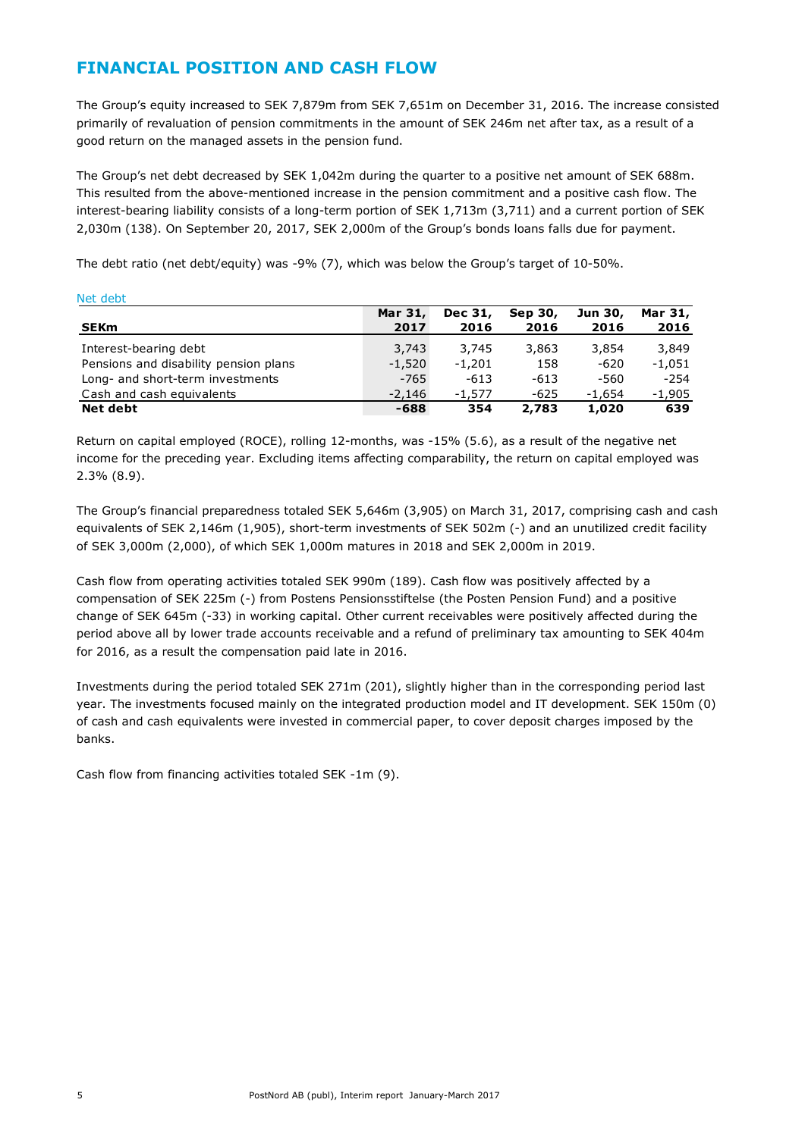# **FINANCIAL POSITION AND CASH FLOW**

The Group's equity increased to SEK 7,879m from SEK 7,651m on December 31, 2016. The increase consisted primarily of revaluation of pension commitments in the amount of SEK 246m net after tax, as a result of a good return on the managed assets in the pension fund.

The Group's net debt decreased by SEK 1,042m during the quarter to a positive net amount of SEK 688m. This resulted from the above-mentioned increase in the pension commitment and a positive cash flow. The interest-bearing liability consists of a long-term portion of SEK 1,713m (3,711) and a current portion of SEK 2,030m (138). On September 20, 2017, SEK 2,000m of the Group's bonds loans falls due for payment.

The debt ratio (net debt/equity) was -9% (7), which was below the Group's target of 10-50%.

| <b>IVEL UEDL</b>                      |          |          |         |          |          |
|---------------------------------------|----------|----------|---------|----------|----------|
|                                       | Mar 31,  | Dec 31,  | Sep 30, | Jun 30,  | Mar 31,  |
| <b>SEKm</b>                           | 2017     | 2016     | 2016    | 2016     | 2016     |
| Interest-bearing debt                 | 3,743    | 3,745    | 3,863   | 3,854    | 3,849    |
| Pensions and disability pension plans | $-1,520$ | $-1.201$ | 158     | -620     | $-1.051$ |
| Long- and short-term investments      | -765     | $-613$   | $-613$  | -560     | $-254$   |
| Cash and cash equivalents             | $-2,146$ | $-1.577$ | $-625$  | $-1.654$ | $-1,905$ |
| Net debt                              | -688     | 354      | 2,783   | 1,020    | 639      |
|                                       |          |          |         |          |          |

Return on capital employed (ROCE), rolling 12-months, was -15% (5.6), as a result of the negative net income for the preceding year. Excluding items affecting comparability, the return on capital employed was 2.3% (8.9).

The Group's financial preparedness totaled SEK 5,646m (3,905) on March 31, 2017, comprising cash and cash equivalents of SEK 2,146m (1,905), short-term investments of SEK 502m (-) and an unutilized credit facility of SEK 3,000m (2,000), of which SEK 1,000m matures in 2018 and SEK 2,000m in 2019.

Cash flow from operating activities totaled SEK 990m (189). Cash flow was positively affected by a compensation of SEK 225m (-) from Postens Pensionsstiftelse (the Posten Pension Fund) and a positive change of SEK 645m (-33) in working capital. Other current receivables were positively affected during the period above all by lower trade accounts receivable and a refund of preliminary tax amounting to SEK 404m for 2016, as a result the compensation paid late in 2016.

Investments during the period totaled SEK 271m (201), slightly higher than in the corresponding period last year. The investments focused mainly on the integrated production model and IT development. SEK 150m (0) of cash and cash equivalents were invested in commercial paper, to cover deposit charges imposed by the banks.

Cash flow from financing activities totaled SEK -1m (9).

Net debt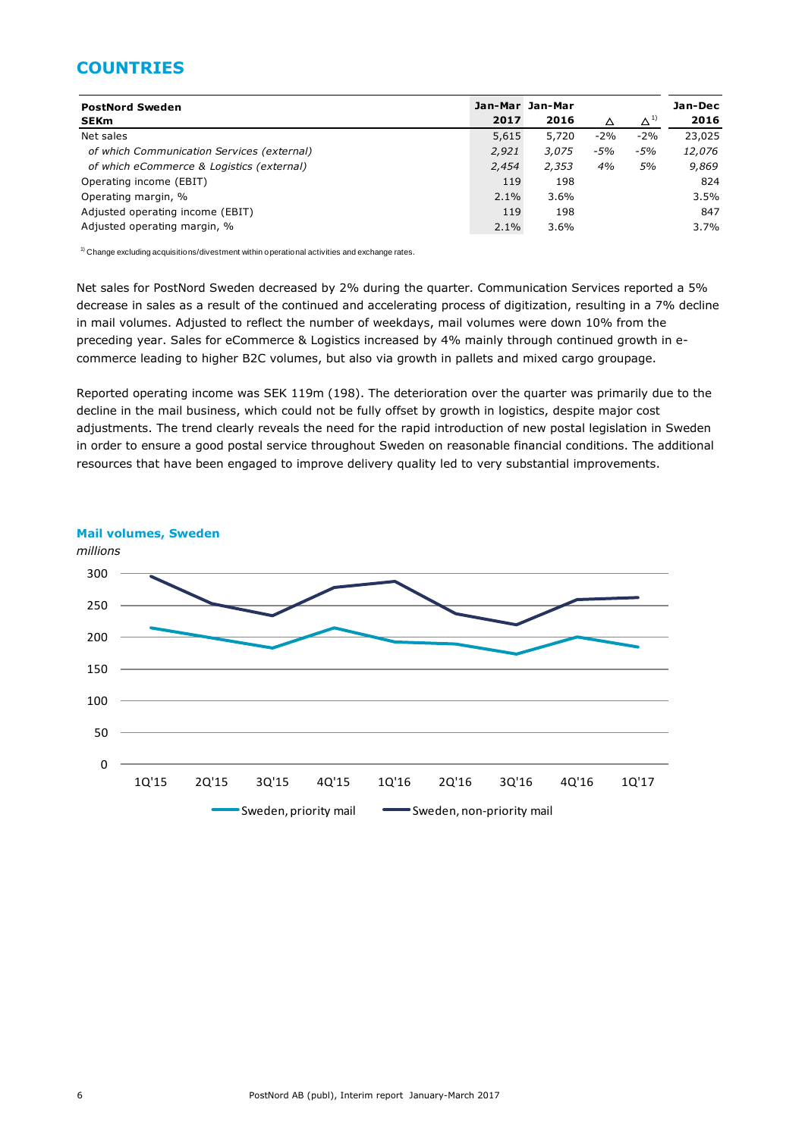# **COUNTRIES**

| <b>PostNord Sweden</b>                     |       | Jan-Mar Jan-Mar |       |               | Jan-Dec |
|--------------------------------------------|-------|-----------------|-------|---------------|---------|
| <b>SEKm</b>                                | 2017  | 2016            | Δ     | $\Delta^{11}$ | 2016    |
| Net sales                                  | 5,615 | 5,720           | $-2%$ | $-2%$         | 23,025  |
| of which Communication Services (external) | 2,921 | 3,075           | $-5%$ | $-5%$         | 12,076  |
| of which eCommerce & Logistics (external)  | 2,454 | 2,353           | 4%    | 5%            | 9,869   |
| Operating income (EBIT)                    | 119   | 198             |       |               | 824     |
| Operating margin, %                        | 2.1%  | 3.6%            |       |               | 3.5%    |
| Adjusted operating income (EBIT)           | 119   | 198             |       |               | 847     |
| Adjusted operating margin, %               | 2.1%  | 3.6%            |       |               | 3.7%    |

 $1)$  Change excluding acquisitions/divestment within operational activities and exchange rates.

Net sales for PostNord Sweden decreased by 2% during the quarter. Communication Services reported a 5% decrease in sales as a result of the continued and accelerating process of digitization, resulting in a 7% decline in mail volumes. Adjusted to reflect the number of weekdays, mail volumes were down 10% from the preceding year. Sales for eCommerce & Logistics increased by 4% mainly through continued growth in ecommerce leading to higher B2C volumes, but also via growth in pallets and mixed cargo groupage.

Reported operating income was SEK 119m (198). The deterioration over the quarter was primarily due to the decline in the mail business, which could not be fully offset by growth in logistics, despite major cost adjustments. The trend clearly reveals the need for the rapid introduction of new postal legislation in Sweden in order to ensure a good postal service throughout Sweden on reasonable financial conditions. The additional resources that have been engaged to improve delivery quality led to very substantial improvements.

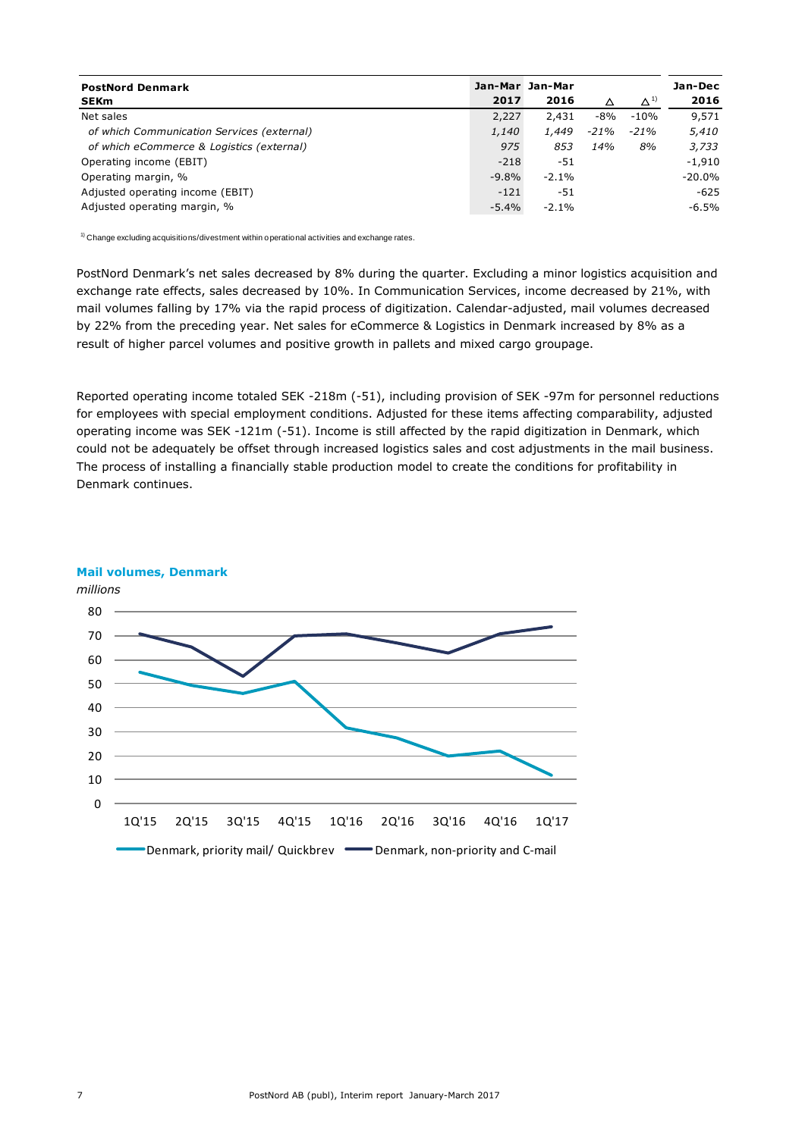| <b>PostNord Denmark</b>                    |          | Jan-Mar Jan-Mar |      |              | Jan-Dec   |
|--------------------------------------------|----------|-----------------|------|--------------|-----------|
| <b>SEKm</b>                                | 2017     | 2016            |      | $\Delta^{1}$ | 2016      |
| Net sales                                  | 2,227    | 2,431           | -8%  | $-10%$       | 9,571     |
| of which Communication Services (external) | 1,140    | 1,449           | -21% | $-21%$       | 5,410     |
| of which eCommerce & Logistics (external)  | 975      | 853             | 14%  | 8%           | 3,733     |
| Operating income (EBIT)                    | $-218$   | -51             |      |              | $-1,910$  |
| Operating margin, %                        | $-9.8\%$ | $-2.1%$         |      |              | $-20.0\%$ |
| Adjusted operating income (EBIT)           | $-121$   | -51             |      |              | $-625$    |
| Adjusted operating margin, %               | $-5.4\%$ | $-2.1%$         |      |              | -6.5%     |

 $1)$  Change excluding acquisitions/divestment within operational activities and exchange rates.

PostNord Denmark's net sales decreased by 8% during the quarter. Excluding a minor logistics acquisition and exchange rate effects, sales decreased by 10%. In Communication Services, income decreased by 21%, with mail volumes falling by 17% via the rapid process of digitization. Calendar-adjusted, mail volumes decreased by 22% from the preceding year. Net sales for eCommerce & Logistics in Denmark increased by 8% as a result of higher parcel volumes and positive growth in pallets and mixed cargo groupage.

Reported operating income totaled SEK -218m (-51), including provision of SEK -97m for personnel reductions for employees with special employment conditions. Adjusted for these items affecting comparability, adjusted operating income was SEK -121m (-51). Income is still affected by the rapid digitization in Denmark, which could not be adequately be offset through increased logistics sales and cost adjustments in the mail business. The process of installing a financially stable production model to create the conditions for profitability in Denmark continues.



#### **Mail volumes, Denmark**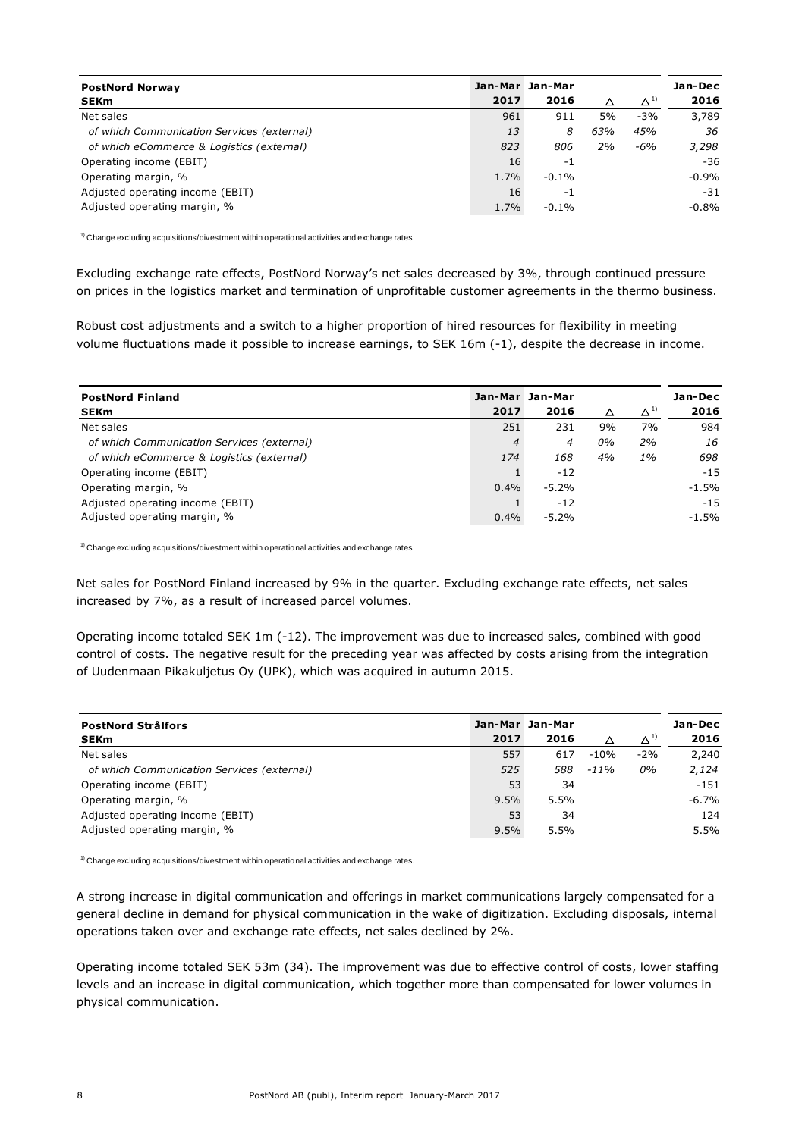| <b>PostNord Norway</b>                     |      | Jan-Mar Jan-Mar |     |               | Jan-Dec  |
|--------------------------------------------|------|-----------------|-----|---------------|----------|
| <b>SEKm</b>                                | 2017 | 2016            | Δ   | $\Delta^{1)}$ | 2016     |
| Net sales                                  | 961  | 911             | 5%  | $-3%$         | 3,789    |
| of which Communication Services (external) | 13   | 8               | 63% | 45%           | 36       |
| of which eCommerce & Logistics (external)  | 823  | 806             | 2%  | $-6%$         | 3,298    |
| Operating income (EBIT)                    | 16   | -1              |     |               | $-36$    |
| Operating margin, %                        | 1.7% | $-0.1%$         |     |               | $-0.9%$  |
| Adjusted operating income (EBIT)           | 16   | -1              |     |               | $-31$    |
| Adjusted operating margin, %               | 1.7% | $-0.1%$         |     |               | $-0.8\%$ |

 $1)$  Change excluding acquisitions/divestment within operational activities and exchange rates.

Excluding exchange rate effects, PostNord Norway's net sales decreased by 3%, through continued pressure on prices in the logistics market and termination of unprofitable customer agreements in the thermo business.

Robust cost adjustments and a switch to a higher proportion of hired resources for flexibility in meeting volume fluctuations made it possible to increase earnings, to SEK 16m (-1), despite the decrease in income.

| <b>PostNord Finland</b>                    |         | Jan-Mar Jan-Mar |    |               | Jan-Dec  |
|--------------------------------------------|---------|-----------------|----|---------------|----------|
| <b>SEKm</b>                                | 2017    | 2016            | Δ  | $\Delta^{1)}$ | 2016     |
| Net sales                                  | 251     | 231             | 9% | 7%            | 984      |
| of which Communication Services (external) | 4       | 4               | 0% | 2%            | 16       |
| of which eCommerce & Logistics (external)  | 174     | 168             | 4% | $1\%$         | 698      |
| Operating income (EBIT)                    |         | $-12$           |    |               | $-15$    |
| Operating margin, %                        | $0.4\%$ | $-5.2%$         |    |               | $-1.5%$  |
| Adjusted operating income (EBIT)           |         | $-12$           |    |               | $-15$    |
| Adjusted operating margin, %               | $0.4\%$ | $-5.2%$         |    |               | $-1.5\%$ |

 $1)$  Change excluding acquisitions/divestment within operational activities and exchange rates.

Net sales for PostNord Finland increased by 9% in the quarter. Excluding exchange rate effects, net sales increased by 7%, as a result of increased parcel volumes.

Operating income totaled SEK 1m (-12). The improvement was due to increased sales, combined with good control of costs. The negative result for the preceding year was affected by costs arising from the integration of Uudenmaan Pikakuljetus Oy (UPK), which was acquired in autumn 2015.

| <b>PostNord Strålfors</b>                  |      | Jan-Mar Jan-Mar |         |               | Jan-Dec  |
|--------------------------------------------|------|-----------------|---------|---------------|----------|
| <b>SEKm</b>                                | 2017 | 2016            |         | $\Delta^{11}$ | 2016     |
| Net sales                                  | 557  | 617             | $-10%$  | $-2%$         | 2,240    |
| of which Communication Services (external) | 525  | 588             | $-11\%$ | 0%            | 2.124    |
| Operating income (EBIT)                    | 53   | 34              |         |               | $-151$   |
| Operating margin, %                        | 9.5% | 5.5%            |         |               | $-6.7\%$ |
| Adjusted operating income (EBIT)           | 53   | 34              |         |               | 124      |
| Adjusted operating margin, %               | 9.5% | 5.5%            |         |               | 5.5%     |

 $1)$  Change excluding acquisitions/divestment within operational activities and exchange rates.

A strong increase in digital communication and offerings in market communications largely compensated for a general decline in demand for physical communication in the wake of digitization. Excluding disposals, internal operations taken over and exchange rate effects, net sales declined by 2%.

Operating income totaled SEK 53m (34). The improvement was due to effective control of costs, lower staffing levels and an increase in digital communication, which together more than compensated for lower volumes in physical communication.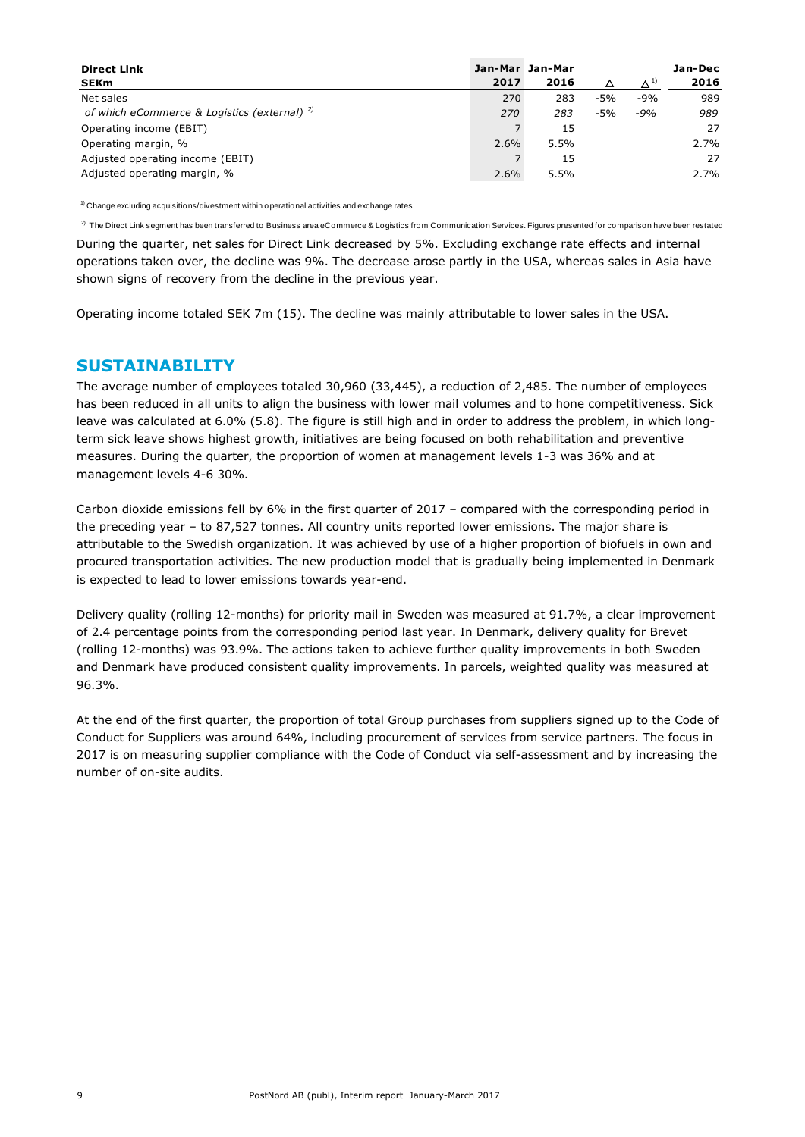| <b>Direct Link</b><br><b>SEKm</b>            | 2017 | Jan-Mar Jan-Mar<br>2016 | Δ     | $\Delta^{1}$ | Jan-Dec<br>2016 |
|----------------------------------------------|------|-------------------------|-------|--------------|-----------------|
| Net sales                                    | 270  | 283                     | $-5%$ | $-9%$        | 989             |
| of which eCommerce & Logistics (external) 2) | 270  | 283                     | $-5%$ | $-9%$        | 989             |
| Operating income (EBIT)                      |      | 15                      |       |              | 27              |
| Operating margin, %                          | 2.6% | 5.5%                    |       |              | 2.7%            |
| Adjusted operating income (EBIT)             |      | 15                      |       |              | 27              |
| Adjusted operating margin, %                 | 2.6% | 5.5%                    |       |              | 2.7%            |

 $1)$  Change excluding acquisitions/divestment within operational activities and exchange rates.

<sup>2)</sup> The Direct Link segment has been transferred to Business area eCommerce & Logistics from Communication Services. Figures presented for comparison have been restated

During the quarter, net sales for Direct Link decreased by 5%. Excluding exchange rate effects and internal operations taken over, the decline was 9%. The decrease arose partly in the USA, whereas sales in Asia have shown signs of recovery from the decline in the previous year.

Operating income totaled SEK 7m (15). The decline was mainly attributable to lower sales in the USA.

## **SUSTAINABILITY**

The average number of employees totaled 30,960 (33,445), a reduction of 2,485. The number of employees has been reduced in all units to align the business with lower mail volumes and to hone competitiveness. Sick leave was calculated at 6.0% (5.8). The figure is still high and in order to address the problem, in which longterm sick leave shows highest growth, initiatives are being focused on both rehabilitation and preventive measures. During the quarter, the proportion of women at management levels 1-3 was 36% and at management levels 4-6 30%.

Carbon dioxide emissions fell by 6% in the first quarter of 2017 – compared with the corresponding period in the preceding year – to 87,527 tonnes. All country units reported lower emissions. The major share is attributable to the Swedish organization. It was achieved by use of a higher proportion of biofuels in own and procured transportation activities. The new production model that is gradually being implemented in Denmark is expected to lead to lower emissions towards year-end.

Delivery quality (rolling 12-months) for priority mail in Sweden was measured at 91.7%, a clear improvement of 2.4 percentage points from the corresponding period last year. In Denmark, delivery quality for Brevet (rolling 12-months) was 93.9%. The actions taken to achieve further quality improvements in both Sweden and Denmark have produced consistent quality improvements. In parcels, weighted quality was measured at 96.3%.

At the end of the first quarter, the proportion of total Group purchases from suppliers signed up to the Code of Conduct for Suppliers was around 64%, including procurement of services from service partners. The focus in 2017 is on measuring supplier compliance with the Code of Conduct via self-assessment and by increasing the number of on-site audits.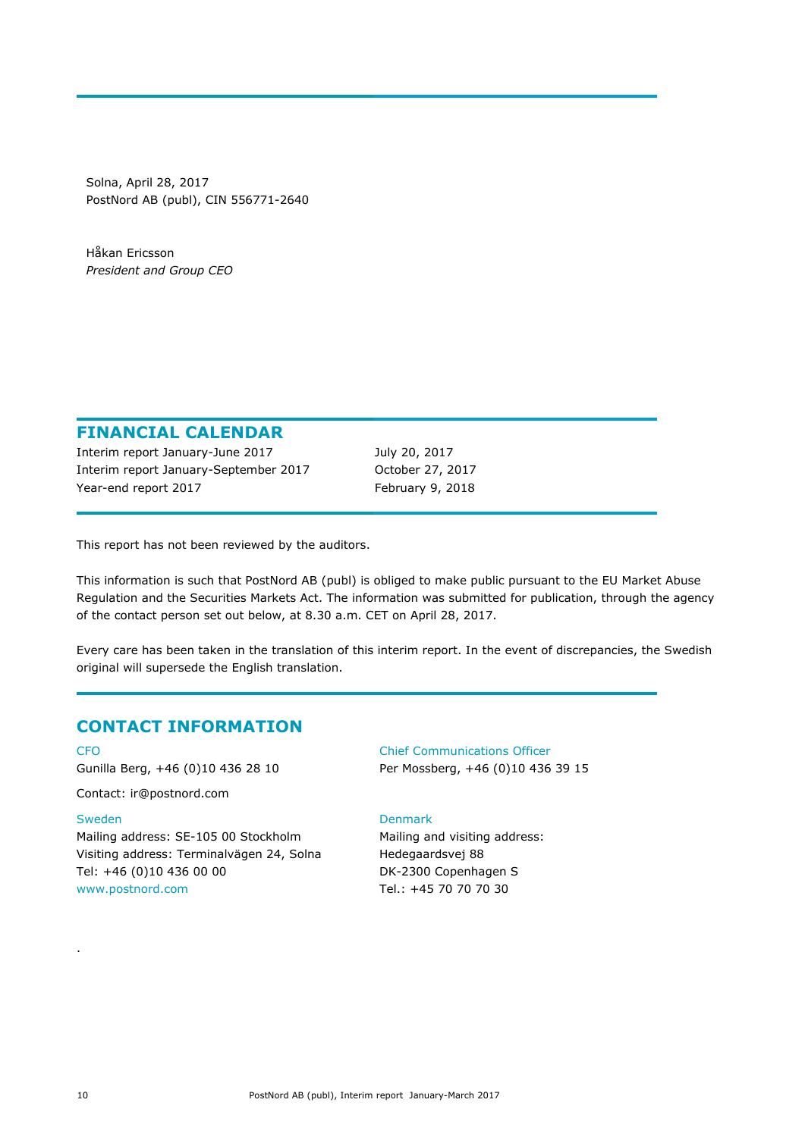Solna, April 28, 2017 PostNord AB (publ), CIN 556771-2640

Håkan Ericsson *President and Group CEO*

## **FINANCIAL CALENDAR**

Interim report January-June 2017 July 20, 2017 Interim report January-September 2017 October 27, 2017 Year-end report 2017 February 9, 2018

This report has not been reviewed by the auditors.

This information is such that PostNord AB (publ) is obliged to make public pursuant to the EU Market Abuse Regulation and the Securities Markets Act. The information was submitted for publication, through the agency of the contact person set out below, at 8.30 a.m. CET on April 28, 2017.

Every care has been taken in the translation of this interim report. In the event of discrepancies, the Swedish original will supersede the English translation.

# **CONTACT INFORMATION**

CFO Gunilla Berg, +46 (0)10 436 28 10

Contact: ir@postnord.com

### Sweden

Mailing address: SE-105 00 Stockholm Visiting address: Terminalvägen 24, Solna Tel: +46 (0)10 436 00 00 [www.postnord.com](http://www.postnord.com/)

Chief Communications Officer Per Mossberg, +46 (0)10 436 39 15

### Denmark

Mailing and visiting address: Hedegaardsvej 88 DK-2300 Copenhagen S Tel.: +45 70 70 70 30

.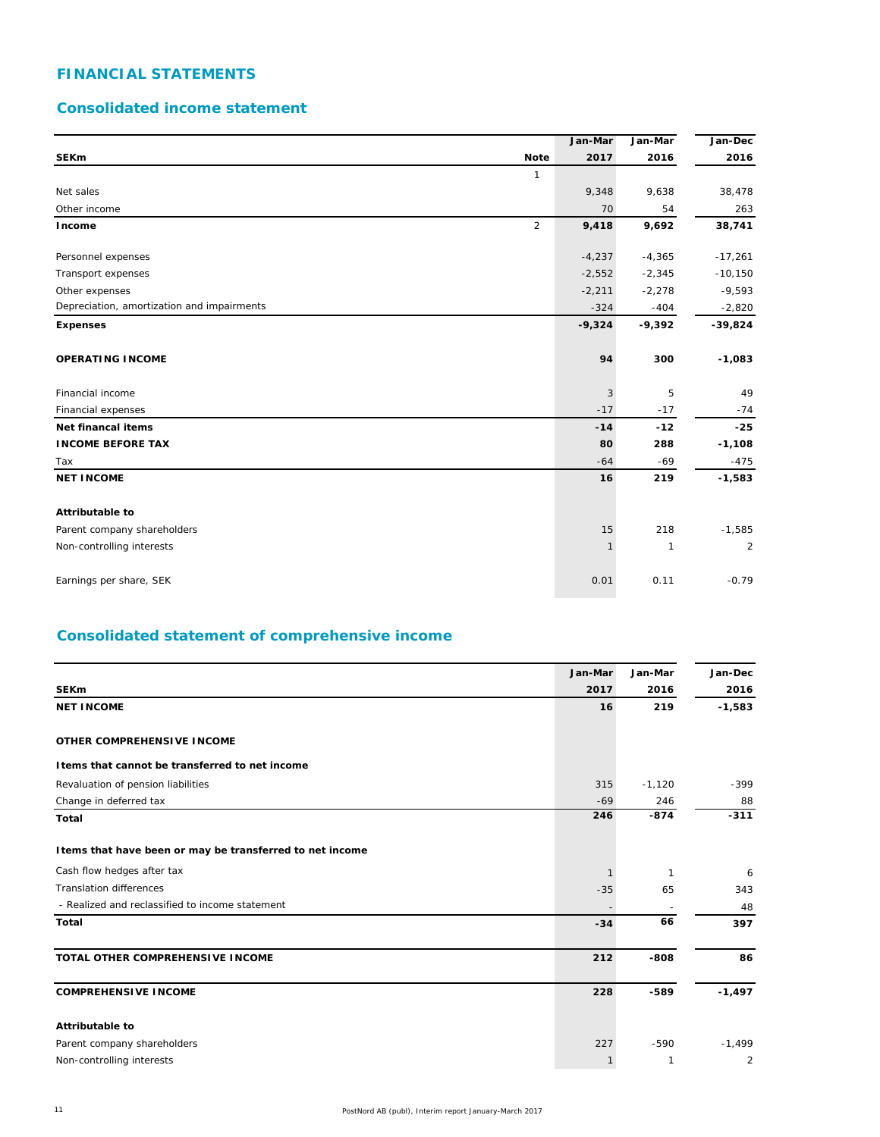# **FINANCIAL STATEMENTS**

## **Consolidated income statement**

|                                            | Jan-Mar      | Jan-Mar      | Jan-Dec        |
|--------------------------------------------|--------------|--------------|----------------|
| <b>SEKm</b><br><b>Note</b>                 | 2017         | 2016         | 2016           |
| $\mathbf{1}$                               |              |              |                |
| Net sales                                  | 9,348        | 9,638        | 38,478         |
| Other income                               | 70           | 54           | 263            |
| 2<br>Income                                | 9,418        | 9,692        | 38,741         |
| Personnel expenses                         | $-4,237$     | $-4,365$     | $-17,261$      |
| Transport expenses                         | $-2,552$     | $-2,345$     | $-10,150$      |
| Other expenses                             | $-2,211$     | $-2,278$     | $-9,593$       |
| Depreciation, amortization and impairments | $-324$       | $-404$       | $-2,820$       |
| <b>Expenses</b>                            | $-9,324$     | $-9,392$     | $-39,824$      |
| <b>OPERATING INCOME</b>                    | 94           | 300          | $-1,083$       |
| Financial income                           | 3            | 5            | 49             |
| Financial expenses                         | $-17$        | $-17$        | $-74$          |
| Net financal items                         | $-14$        | $-12$        | $-25$          |
| <b>INCOME BEFORE TAX</b>                   | 80           | 288          | $-1,108$       |
| Tax                                        | $-64$        | $-69$        | $-475$         |
| <b>NET INCOME</b>                          | 16           | 219          | $-1,583$       |
| Attributable to                            |              |              |                |
| Parent company shareholders                | 15           | 218          | $-1,585$       |
| Non-controlling interests                  | $\mathbf{1}$ | $\mathbf{1}$ | $\overline{c}$ |
| Earnings per share, SEK                    | 0.01         | 0.11         | $-0.79$        |

# **Consolidated statement of comprehensive income**

|                                                           | Jan-Mar      | Jan-Mar  | Jan-Dec        |
|-----------------------------------------------------------|--------------|----------|----------------|
| <b>SEKm</b>                                               | 2017         | 2016     | 2016           |
| <b>NET INCOME</b>                                         | 16           | 219      | $-1,583$       |
| OTHER COMPREHENSIVE INCOME                                |              |          |                |
| I tems that cannot be transferred to net income           |              |          |                |
| Revaluation of pension liabilities                        | 315          | $-1,120$ | $-399$         |
| Change in deferred tax                                    | $-69$        | 246      | 88             |
| <b>Total</b>                                              | 246          | $-874$   | $-311$         |
| I tems that have been or may be transferred to net income |              |          |                |
| Cash flow hedges after tax                                |              | -1       | 6              |
| <b>Translation differences</b>                            | $-35$        | 65       | 343            |
| - Realized and reclassified to income statement           |              |          | 48             |
| Total                                                     | $-34$        | 66       | 397            |
| TOTAL OTHER COMPREHENSIVE INCOME                          | 212          | $-808$   | 86             |
| <b>COMPREHENSIVE INCOME</b>                               | 228          | $-589$   | $-1,497$       |
| <b>Attributable to</b>                                    |              |          |                |
| Parent company shareholders                               | 227          | $-590$   | $-1,499$       |
| Non-controlling interests                                 | $\mathbf{1}$ | 1        | $\overline{2}$ |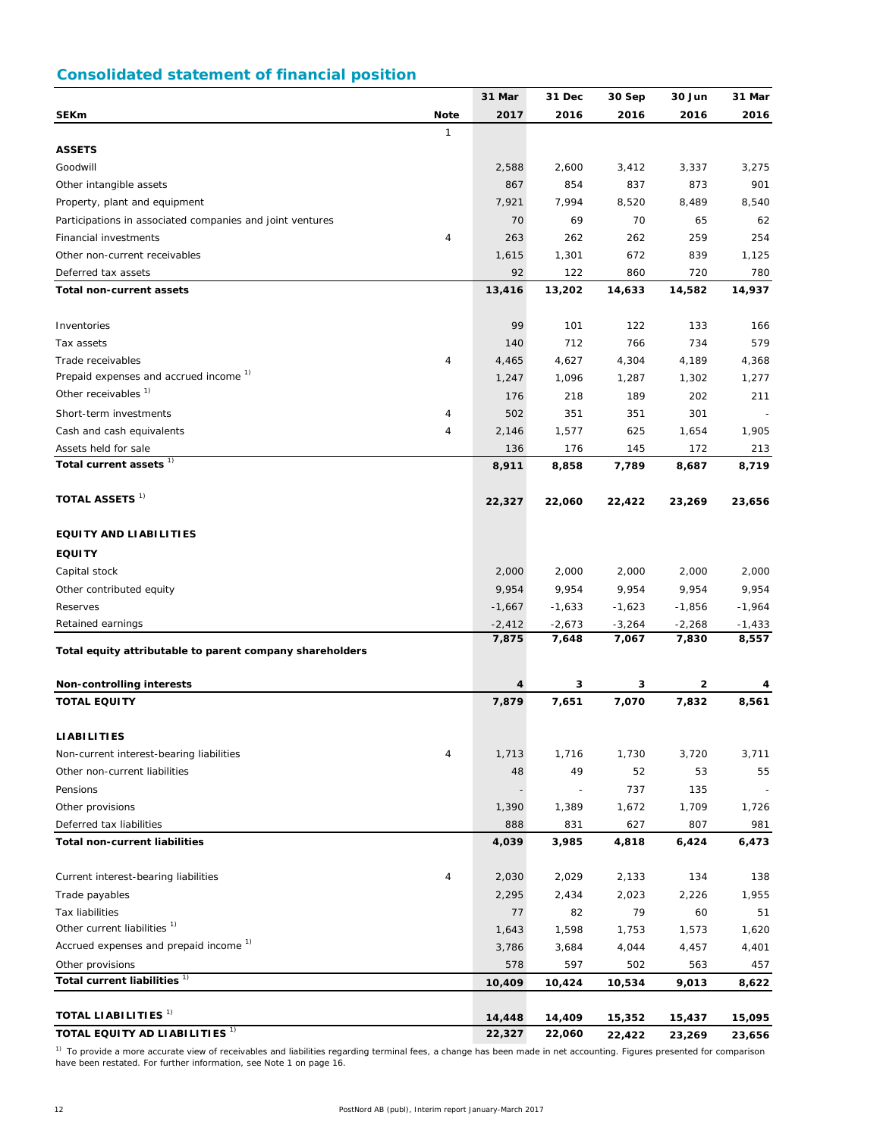# **Consolidated statement of financial position**

|                                                                   |                | 31 Mar   | 31 Dec   | 30 Sep   | 30 Jun   | 31 Mar   |
|-------------------------------------------------------------------|----------------|----------|----------|----------|----------|----------|
| <b>SEKm</b>                                                       | <b>Note</b>    | 2017     | 2016     | 2016     | 2016     | 2016     |
|                                                                   | $\mathbf{1}$   |          |          |          |          |          |
| <b>ASSETS</b>                                                     |                |          |          |          |          |          |
| Goodwill                                                          |                | 2,588    | 2,600    | 3,412    | 3,337    | 3,275    |
| Other intangible assets                                           |                | 867      | 854      | 837      | 873      | 901      |
| Property, plant and equipment                                     |                | 7,921    | 7,994    | 8,520    | 8,489    | 8,540    |
| Participations in associated companies and joint ventures         |                | 70       | 69       | 70       | 65       | 62       |
| Financial investments                                             | $\overline{4}$ | 263      | 262      | 262      | 259      | 254      |
| Other non-current receivables                                     |                | 1,615    | 1,301    | 672      | 839      | 1,125    |
| Deferred tax assets                                               |                | 92       | 122      | 860      | 720      | 780      |
| Total non-current assets                                          |                | 13,416   | 13,202   | 14,633   | 14,582   | 14,937   |
|                                                                   |                |          |          |          |          |          |
| Inventories                                                       |                | 99       | 101      | 122      | 133      | 166      |
| Tax assets                                                        |                | 140      | 712      | 766      | 734      | 579      |
| Trade receivables                                                 | $\overline{4}$ | 4,465    | 4,627    | 4,304    | 4,189    | 4,368    |
| Prepaid expenses and accrued income 1)                            |                | 1,247    | 1,096    | 1,287    | 1,302    | 1,277    |
| Other receivables <sup>1)</sup>                                   |                | 176      | 218      | 189      | 202      | 211      |
| Short-term investments                                            | 4              | 502      | 351      | 351      | 301      |          |
| Cash and cash equivalents                                         | $\overline{4}$ | 2,146    | 1,577    | 625      | 1,654    | 1,905    |
| Assets held for sale                                              |                | 136      | 176      | 145      | 172      | 213      |
| Total current assets <sup>1)</sup>                                |                | 8,911    | 8,858    | 7,789    | 8,687    | 8,719    |
|                                                                   |                |          |          |          |          |          |
| TOTAL ASSETS $^{1)}$                                              |                | 22,327   | 22,060   | 22,422   | 23,269   | 23,656   |
| <b>EQUITY AND LIABILITIES</b>                                     |                |          |          |          |          |          |
| <b>EQUITY</b>                                                     |                |          |          |          |          |          |
| Capital stock                                                     |                | 2,000    | 2,000    | 2,000    | 2,000    | 2,000    |
| Other contributed equity                                          |                | 9,954    | 9,954    | 9,954    | 9,954    | 9,954    |
| Reserves                                                          |                | $-1,667$ | $-1,633$ | $-1,623$ | $-1,856$ | $-1,964$ |
| Retained earnings                                                 |                | $-2,412$ | $-2,673$ | $-3,264$ | $-2,268$ | $-1,433$ |
| Total equity attributable to parent company shareholders          |                | 7,875    | 7,648    | 7,067    | 7,830    | 8,557    |
|                                                                   |                |          |          |          |          |          |
| Non-controlling interests                                         |                | 4        | 3        | з        | 2        | 4        |
| <b>TOTAL EQUITY</b>                                               |                | 7,879    | 7,651    | 7,070    | 7,832    | 8,561    |
| <b>LIABILITIES</b>                                                |                |          |          |          |          |          |
| Non-current interest-bearing liabilities                          | $\overline{4}$ | 1,713    | 1,716    | 1,730    | 3,720    | 3,711    |
| Other non-current liabilities                                     |                | 48       | 49       | 52       | 53       | 55       |
| Pensions                                                          |                |          |          | 737      | 135      |          |
| Other provisions                                                  |                | 1,390    | 1,389    | 1,672    | 1,709    | 1,726    |
| Deferred tax liabilities                                          |                | 888      | 831      | 627      | 807      | 981      |
| <b>Total non-current liabilities</b>                              |                | 4,039    | 3,985    | 4,818    | 6,424    | 6,473    |
|                                                                   |                |          |          |          |          |          |
| Current interest-bearing liabilities                              | $\overline{4}$ | 2,030    | 2,029    | 2,133    | 134      | 138      |
| Trade payables                                                    |                | 2,295    | 2,434    | 2,023    | 2,226    | 1,955    |
| <b>Tax liabilities</b><br>Other current liabilities <sup>1)</sup> |                | 77       | 82       | 79       | 60       | 51       |
| Accrued expenses and prepaid income <sup>1)</sup>                 |                | 1,643    | 1,598    | 1,753    | 1,573    | 1,620    |
|                                                                   |                | 3,786    | 3,684    | 4,044    | 4,457    | 4,401    |
| Other provisions                                                  |                | 578      | 597      | 502      | 563      | 457      |
| Total current liabilities <sup>1)</sup>                           |                | 10,409   | 10,424   | 10,534   | 9,013    | 8,622    |
| TOTAL LIABILITIES <sup>1)</sup>                                   |                | 14,448   | 14,409   | 15,352   | 15,437   | 15,095   |
| TOTAL EQUITY AD LIABILITIES <sup>1)</sup>                         |                | 22,327   | 22,060   | 22,422   | 23,269   | 23,656   |

<sup>1)</sup> To provide a more accurate view of receivables and liabilities regarding terminal fees, a change has been made in net accounting. Figures presented for comparison have been restated. For further information, see Note 1 on page 16.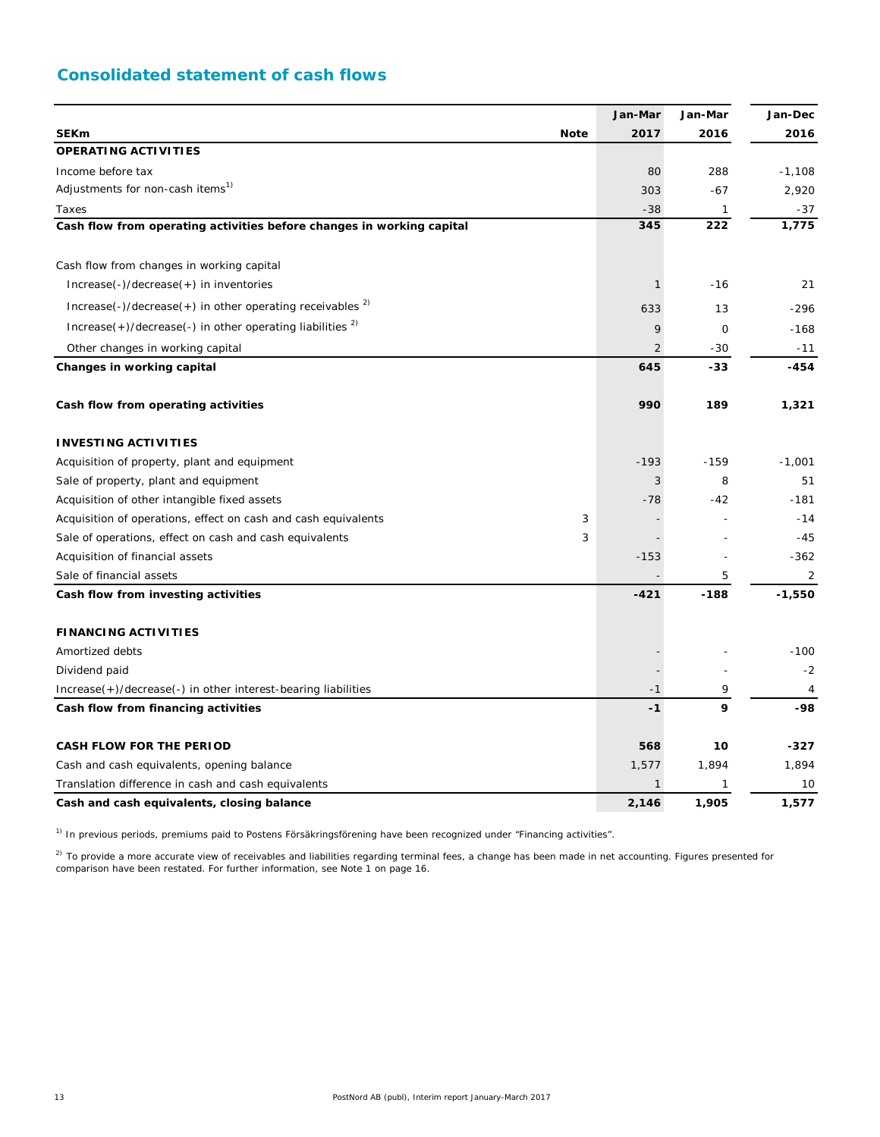# **Consolidated statement of cash flows**

|                                                                          |   | Jan-Mar        | Jan-Mar | Jan-Dec  |
|--------------------------------------------------------------------------|---|----------------|---------|----------|
| <b>SEKm</b><br><b>Note</b>                                               |   | 2017           | 2016    | 2016     |
| <b>OPERATING ACTIVITIES</b>                                              |   |                |         |          |
| Income before tax                                                        |   | 80             | 288     | $-1,108$ |
| Adjustments for non-cash items <sup>1)</sup>                             |   | 303            | -67     | 2,920    |
| Taxes                                                                    |   | $-38$          | 1       | -37      |
| Cash flow from operating activities before changes in working capital    |   | 345            | 222     | 1,775    |
| Cash flow from changes in working capital                                |   |                |         |          |
| Increase(-)/decrease(+) in inventories                                   |   | 1              | $-16$   | 21       |
| Increase(-)/decrease(+) in other operating receivables $^{2}$ )          |   | 633            | 13      | $-296$   |
| $Increase(+) / decrease(-)$ in other operating liabilities <sup>2)</sup> |   | 9              | 0       | $-168$   |
| Other changes in working capital                                         |   | $\overline{2}$ | $-30$   | $-11$    |
| Changes in working capital                                               |   | 645            | $-33$   | $-454$   |
| Cash flow from operating activities                                      |   | 990            | 189     | 1,321    |
| <b>INVESTING ACTIVITIES</b>                                              |   |                |         |          |
| Acquisition of property, plant and equipment                             |   | $-193$         | $-159$  | $-1,001$ |
| Sale of property, plant and equipment                                    |   | 3              | 8       | 51       |
| Acquisition of other intangible fixed assets                             |   | $-78$          | -42     | $-181$   |
| Acquisition of operations, effect on cash and cash equivalents           | 3 |                |         | $-14$    |
| Sale of operations, effect on cash and cash equivalents                  | 3 |                |         | $-45$    |
| Acquisition of financial assets                                          |   | $-153$         |         | $-362$   |
| Sale of financial assets                                                 |   |                | 5       | 2        |
| Cash flow from investing activities                                      |   | $-421$         | $-188$  | $-1,550$ |
| <b>FINANCING ACTIVITIES</b>                                              |   |                |         |          |
| Amortized debts                                                          |   |                |         | $-100$   |
| Dividend paid                                                            |   |                |         | $-2$     |
| Increase(+)/decrease(-) in other interest-bearing liabilities            |   | $-1$           | 9       | 4        |
| Cash flow from financing activities                                      |   | $-1$           | 9       | -98      |
| <b>CASH FLOW FOR THE PERIOD</b>                                          |   | 568            | 10      | $-327$   |
| Cash and cash equivalents, opening balance                               |   | 1,577          | 1,894   | 1,894    |
| Translation difference in cash and cash equivalents                      |   | $\mathbf{1}$   | 1       | 10       |
| Cash and cash equivalents, closing balance                               |   | 2,146          | 1,905   | 1,577    |

<sup>1)</sup> In previous periods, premiums paid to Postens Försäkringsförening have been recognized under "Financing activities".

<sup>2)</sup> To provide a more accurate view of receivables and liabilities regarding terminal fees, a change has been made in net accounting. Figures presented for comparison have been restated. For further information, see Note 1 on page 16.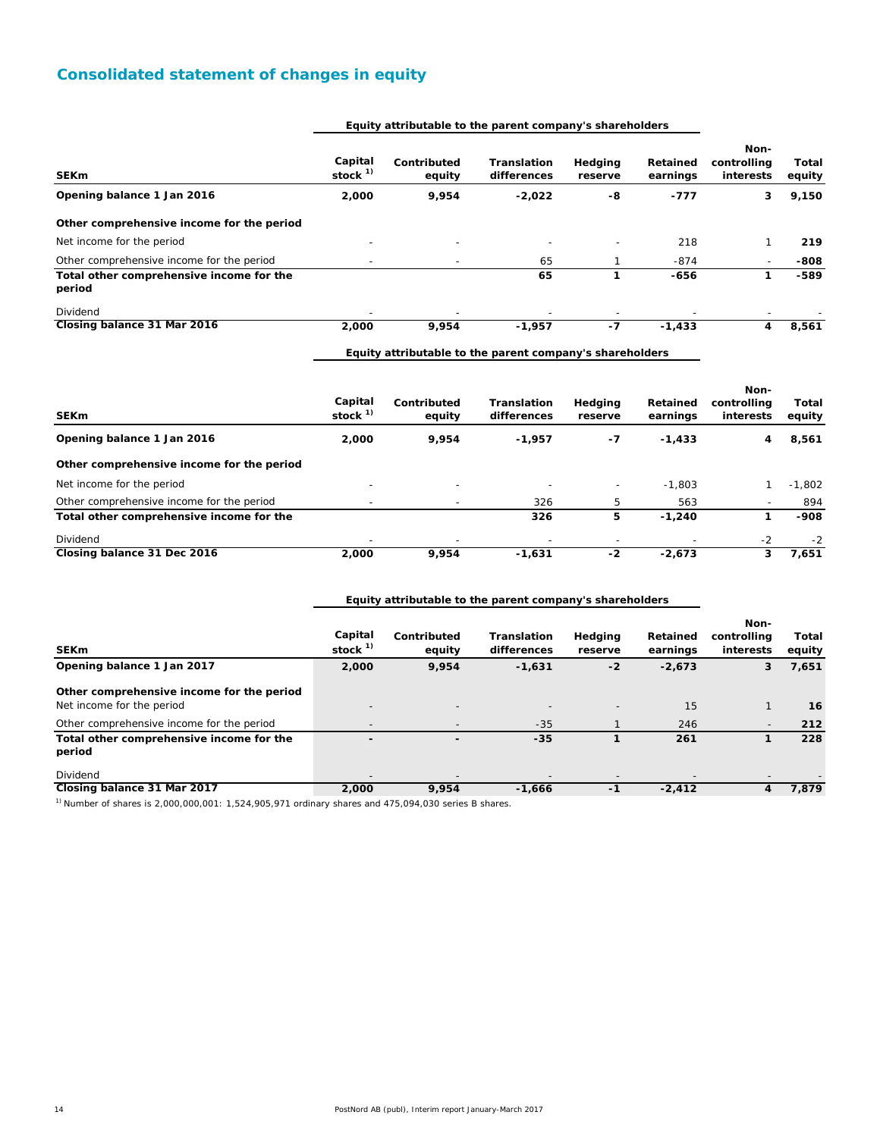# **Consolidated statement of changes in equity**

#### **Equity attributable to the parent company's shareholders**

| <b>SEKm</b>                                        | Capital<br>stock $1$     | Contributed<br>equity    | Translation<br>differences | Hedging<br>reserve       | Retained<br>earnings | Non-<br>controlling<br>interests | Total<br>equity |
|----------------------------------------------------|--------------------------|--------------------------|----------------------------|--------------------------|----------------------|----------------------------------|-----------------|
| Opening balance 1 Jan 2016                         | 2,000                    | 9,954                    | $-2,022$                   | -8                       | $-777$               | 3                                | 9,150           |
| Other comprehensive income for the period          |                          |                          |                            |                          |                      |                                  |                 |
| Net income for the period                          |                          | $\overline{a}$           |                            | $\overline{\phantom{a}}$ | 218                  |                                  | 219             |
| Other comprehensive income for the period          |                          | $\overline{\phantom{a}}$ | 65                         |                          | $-874$               |                                  | -808            |
| Total other comprehensive income for the<br>period |                          |                          | 65                         |                          | $-656$               |                                  | $-589$          |
| Dividend                                           | $\overline{\phantom{0}}$ | $\overline{\phantom{a}}$ | $\overline{\phantom{a}}$   | $\overline{\phantom{a}}$ |                      | $\overline{\phantom{0}}$         |                 |
| Closing balance 31 Mar 2016                        | 2,000                    | 9,954                    | $-1,957$                   | -7                       | $-1,433$             | 4                                | 8,561           |

**Equity attributable to the parent company's shareholders**

**Equity attributable to the parent company's shareholders**

| <b>SEKm</b>                               | Capital<br>stock $1$     | Contributed<br>equity    | <b>Translation</b><br>differences | Hedging<br>reserve | Retained<br>earnings | Non-<br>controllina<br>interests | Total<br>equity |
|-------------------------------------------|--------------------------|--------------------------|-----------------------------------|--------------------|----------------------|----------------------------------|-----------------|
| Opening balance 1 Jan 2016                | 2,000                    | 9.954                    | $-1,957$                          | -7                 | $-1,433$             | 4                                | 8,561           |
| Other comprehensive income for the period |                          |                          |                                   |                    |                      |                                  |                 |
| Net income for the period                 | $\overline{\phantom{0}}$ | $\overline{\phantom{0}}$ |                                   |                    | $-1.803$             |                                  | $-1.802$        |
| Other comprehensive income for the period |                          |                          | 326                               | 5                  | 563                  | $\overline{\phantom{a}}$         | 894             |
| Total other comprehensive income for the  |                          |                          | 326                               | 5                  | $-1.240$             |                                  | $-908$          |
| Dividend                                  |                          |                          |                                   |                    |                      | $-2$                             | $-2$            |
| Closing balance 31 Dec 2016               | 2,000                    | 9.954                    | $-1,631$                          | -2                 | $-2.673$             | 3                                | 7.651           |

| <b>SEKm</b>                                                            | Capital<br>stock <sup>1)</sup> | Contributed<br>equity    | <b>Translation</b><br>differences | Hedging<br>reserve       | Retained<br>earnings | Non-<br>controlling<br>interests | Total<br>equity |
|------------------------------------------------------------------------|--------------------------------|--------------------------|-----------------------------------|--------------------------|----------------------|----------------------------------|-----------------|
| Opening balance 1 Jan 2017                                             | 2,000                          | 9,954                    | $-1,631$                          | $-2$                     | $-2,673$             | 3                                | 7,651           |
| Other comprehensive income for the period<br>Net income for the period | $\overline{\phantom{a}}$       | $\overline{\phantom{0}}$ |                                   | $\overline{\phantom{a}}$ | 15                   |                                  | 16              |
| Other comprehensive income for the period                              | $\overline{\phantom{a}}$       |                          | $-35$                             |                          | 246                  | $\overline{\phantom{0}}$         | 212             |
| Total other comprehensive income for the<br>period                     |                                |                          | $-35$                             |                          | 261                  |                                  | 228             |
| Dividend                                                               |                                |                          |                                   |                          |                      |                                  |                 |
| Closing balance 31 Mar 2017                                            | 2,000                          | 9,954                    | $-1,666$                          | -1                       | $-2,412$             | 4                                | 7.879           |

 $1)$  Number of shares is 2,000,000,001: 1,524,905,971 ordinary shares and 475,094,030 series B shares.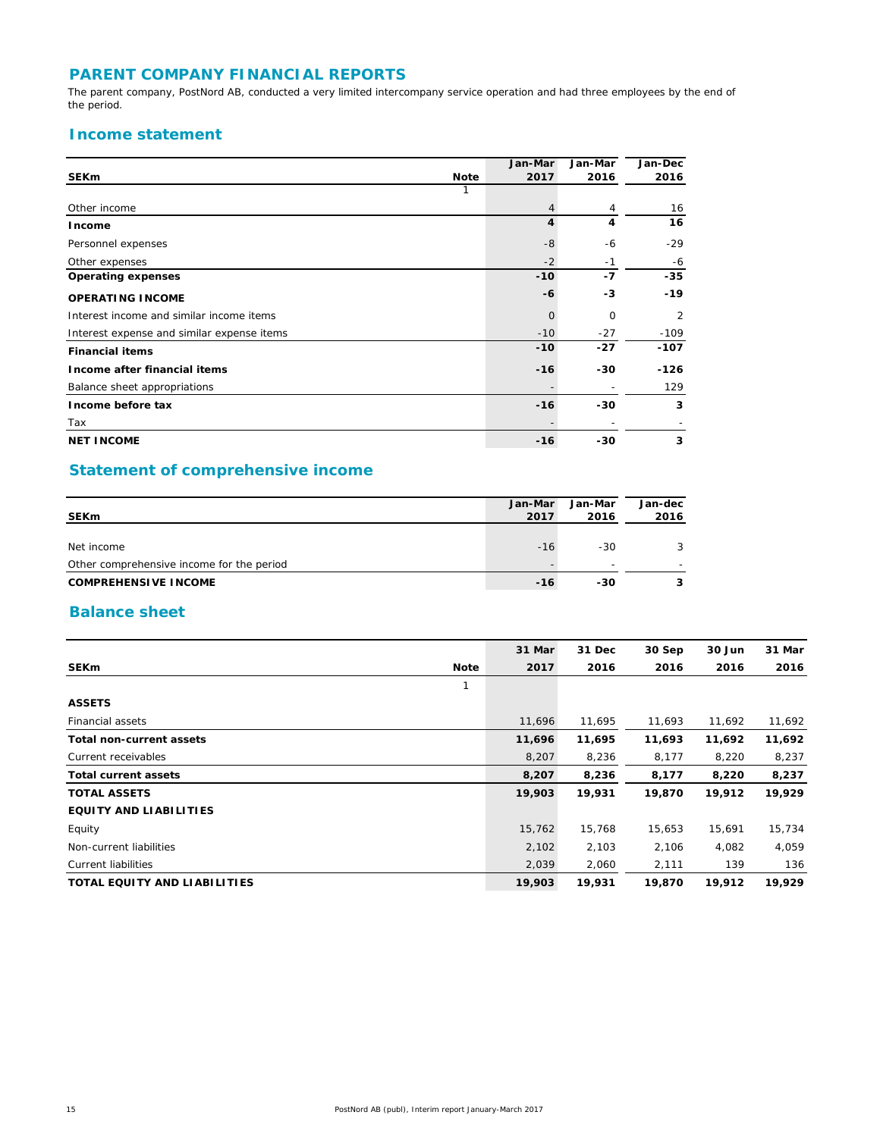## **PARENT COMPANY FINANCIAL REPORTS**

The parent company, PostNord AB, conducted a very limited intercompany service operation and had three employees by the end of the period.

## **Income statement**

|                                            |             | Jan-Mar | Jan-Mar  | Jan-Dec |
|--------------------------------------------|-------------|---------|----------|---------|
| <b>SEKm</b>                                | <b>Note</b> | 2017    | 2016     | 2016    |
|                                            |             |         |          |         |
| Other income                               |             | 4       | 4        | 16      |
| Income                                     |             | 4       | 4        | 16      |
| Personnel expenses                         |             | $-8$    | -6       | $-29$   |
| Other expenses                             |             | $-2$    | $-1$     | -6      |
| <b>Operating expenses</b>                  |             | $-10$   | -7       | $-35$   |
| <b>OPERATING INCOME</b>                    |             | -6      | -3       | $-19$   |
| Interest income and similar income items   |             | $\circ$ | $\Omega$ | 2       |
| Interest expense and similar expense items |             | $-10$   | $-27$    | $-109$  |
| <b>Financial items</b>                     |             | $-10$   | $-27$    | $-107$  |
| Income after financial items               |             | $-16$   | -30      | -126    |
| Balance sheet appropriations               |             |         |          | 129     |
| Income before tax                          |             | $-16$   | -30      | 3       |
| Tax                                        |             |         |          |         |
| <b>NET INCOME</b>                          |             | $-16$   | $-30$    | 3       |

# **Statement of comprehensive income**

| <b>SEKm</b>                               | Jan-Mar<br>2017 | Jan-Mar<br>2016 | Jan-dec<br>2016 |
|-------------------------------------------|-----------------|-----------------|-----------------|
| Net income                                | $-16$           | -30             |                 |
| Other comprehensive income for the period |                 |                 |                 |
| <b>COMPREHENSIVE INCOME</b>               | $-16$           | -30             |                 |

## **Balance sheet**

|                                     | 31 Mar | 31 Dec | 30 Sep | 30 Jun | 31 Mar |
|-------------------------------------|--------|--------|--------|--------|--------|
| <b>SEKm</b><br><b>Note</b>          | 2017   | 2016   | 2016   | 2016   | 2016   |
| 1                                   |        |        |        |        |        |
| <b>ASSETS</b>                       |        |        |        |        |        |
| Financial assets                    | 11,696 | 11,695 | 11,693 | 11,692 | 11,692 |
| <b>Total non-current assets</b>     | 11,696 | 11,695 | 11,693 | 11,692 | 11,692 |
| Current receivables                 | 8,207  | 8,236  | 8,177  | 8,220  | 8,237  |
| <b>Total current assets</b>         | 8,207  | 8,236  | 8,177  | 8,220  | 8,237  |
| <b>TOTAL ASSETS</b>                 | 19,903 | 19,931 | 19,870 | 19,912 | 19,929 |
| <b>EQUITY AND LIABILITIES</b>       |        |        |        |        |        |
| Equity                              | 15,762 | 15,768 | 15,653 | 15,691 | 15,734 |
| Non-current liabilities             | 2,102  | 2,103  | 2,106  | 4,082  | 4,059  |
| <b>Current liabilities</b>          | 2,039  | 2,060  | 2,111  | 139    | 136    |
| <b>TOTAL EQUITY AND LIABILITIES</b> | 19,903 | 19,931 | 19,870 | 19,912 | 19,929 |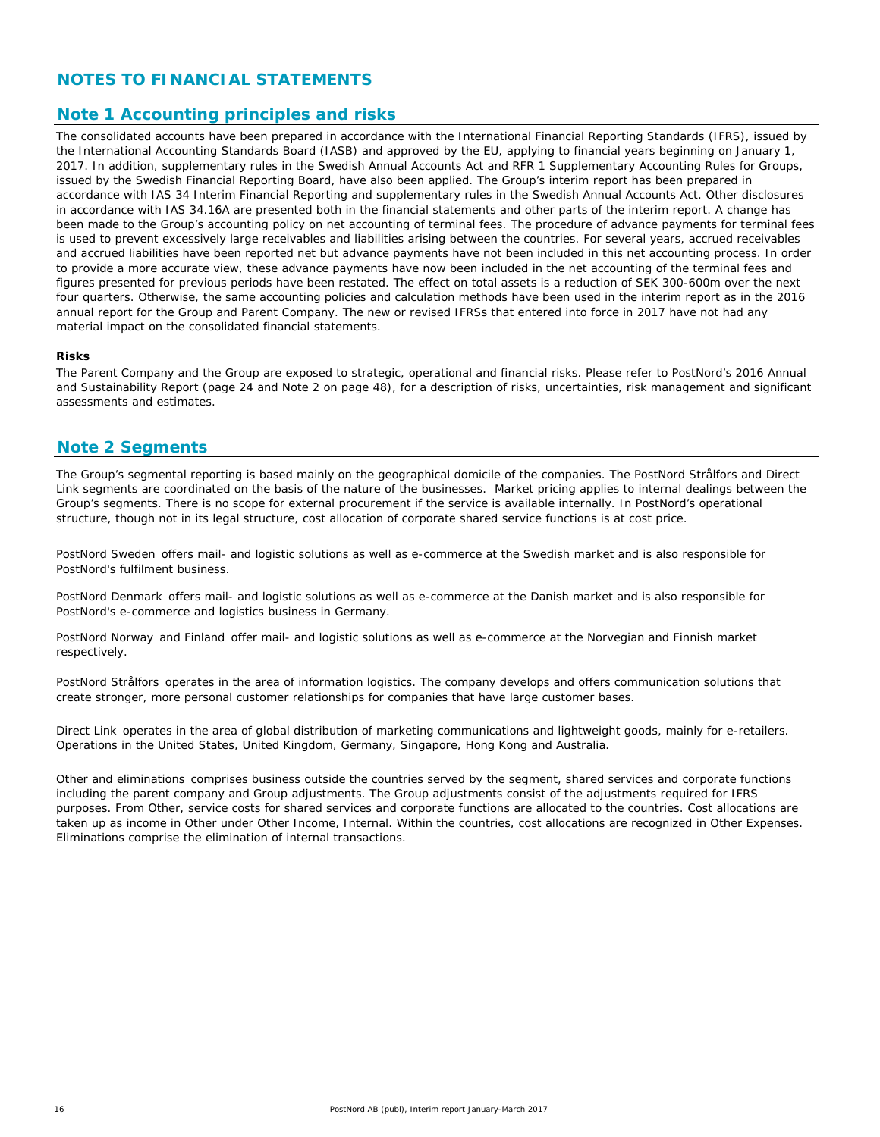## **NOTES TO FINANCIAL STATEMENTS**

## **Note 1 Accounting principles and risks**

The consolidated accounts have been prepared in accordance with the International Financial Reporting Standards (IFRS), issued by the International Accounting Standards Board (IASB) and approved by the EU, applying to financial years beginning on January 1, 2017. In addition, supplementary rules in the Swedish Annual Accounts Act and RFR 1 Supplementary Accounting Rules for Groups, issued by the Swedish Financial Reporting Board, have also been applied. The Group's interim report has been prepared in accordance with IAS 34 Interim Financial Reporting and supplementary rules in the Swedish Annual Accounts Act. Other disclosures in accordance with IAS 34.16A are presented both in the financial statements and other parts of the interim report. A change has been made to the Group's accounting policy on net accounting of terminal fees. The procedure of advance payments for terminal fees is used to prevent excessively large receivables and liabilities arising between the countries. For several years, accrued receivables and accrued liabilities have been reported net but advance payments have not been included in this net accounting process. In order to provide a more accurate view, these advance payments have now been included in the net accounting of the terminal fees and figures presented for previous periods have been restated. The effect on total assets is a reduction of SEK 300-600m over the next four quarters. Otherwise, the same accounting policies and calculation methods have been used in the interim report as in the 2016 annual report for the Group and Parent Company. The new or revised IFRSs that entered into force in 2017 have not had any material impact on the consolidated financial statements.

#### **Risks**

The Parent Company and the Group are exposed to strategic, operational and financial risks. Please refer to PostNord's 2016 Annual and Sustainability Report (page 24 and Note 2 on page 48), for a description of risks, uncertainties, risk management and significant assessments and estimates.

## **Note 2 Segments**

The Group's segmental reporting is based mainly on the geographical domicile of the companies. The PostNord Strålfors and Direct Link segments are coordinated on the basis of the nature of the businesses. Market pricing applies to internal dealings between the Group's segments. There is no scope for external procurement if the service is available internally. In PostNord's operational structure, though not in its legal structure, cost allocation of corporate shared service functions is at cost price.

*PostNord Sweden* offers mail- and logistic solutions as well as e-commerce at the Swedish market and is also responsible for PostNord's fulfilment business.

*PostNord Denmark* offers mail- and logistic solutions as well as e-commerce at the Danish market and is also responsible for PostNord's e-commerce and logistics business in Germany.

*PostNord Norway* and *Finland* offer mail- and logistic solutions as well as e-commerce at the Norvegian and Finnish market respectively.

*PostNord Strålfors* operates in the area of information logistics. The company develops and offers communication solutions that create stronger, more personal customer relationships for companies that have large customer bases.

*Direct Link* operates in the area of global distribution of marketing communications and lightweight goods, mainly for e-retailers. Operations in the United States, United Kingdom, Germany, Singapore, Hong Kong and Australia.

*Other and eliminations* comprises business outside the countries served by the segment, shared services and corporate functions including the parent company and Group adjustments. The Group adjustments consist of the adjustments required for IFRS purposes. From Other, service costs for shared services and corporate functions are allocated to the countries. Cost allocations are taken up as income in Other under Other Income, Internal. Within the countries, cost allocations are recognized in Other Expenses. Eliminations comprise the elimination of internal transactions.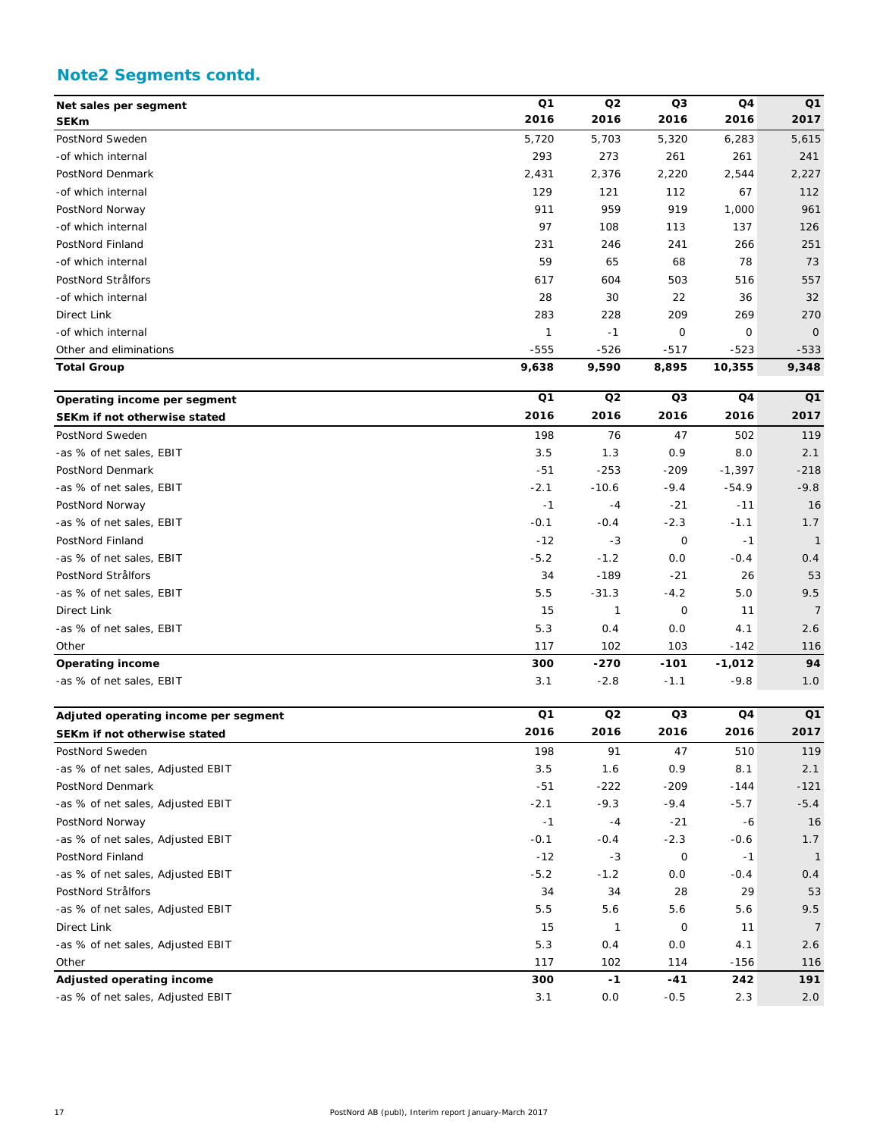# **Note2 Segments contd.**

| Net sales per segment  | Q <sub>1</sub> | Q <sub>2</sub> | Q <sub>3</sub> | Q <sub>4</sub> | Q <sub>1</sub> |
|------------------------|----------------|----------------|----------------|----------------|----------------|
| <b>SEKm</b>            | 2016           | 2016           | 2016           | 2016           | 2017           |
| PostNord Sweden        | 5,720          | 5,703          | 5,320          | 6,283          | 5,615          |
| -of which internal     | 293            | 273            | 261            | 261            | 241            |
| PostNord Denmark       | 2,431          | 2,376          | 2,220          | 2,544          | 2,227          |
| -of which internal     | 129            | 121            | 112            | 67             | 112            |
| PostNord Norway        | 911            | 959            | 919            | 1,000          | 961            |
| -of which internal     | 97             | 108            | 113            | 137            | 126            |
| PostNord Finland       | 231            | 246            | 241            | 266            | 251            |
| -of which internal     | 59             | 65             | 68             | 78             | 73             |
| PostNord Strålfors     | 617            | 604            | 503            | 516            | 557            |
| -of which internal     | 28             | 30             | 22             | 36             | 32             |
| Direct Link            | 283            | 228            | 209            | 269            | 270            |
| -of which internal     | $\mathcal I$   | $-1$           | 0              | 0              | $\overline{O}$ |
| Other and eliminations | $-555$         | $-526$         | $-517$         | $-523$         | $-533$         |
| <b>Total Group</b>     | 9,638          | 9,590          | 8,895          | 10,355         | 9,348          |

| Operating income per segment | Q1     | Q2      | Q3          | Q4       | Q1             |
|------------------------------|--------|---------|-------------|----------|----------------|
| SEKm if not otherwise stated | 2016   | 2016    | 2016        | 2016     | 2017           |
| PostNord Sweden              | 198    | 76      | 47          | 502      | 119            |
| -as % of net sales, EBIT     | 3.5    | 1.3     | 0.9         | 8.0      | 2.1            |
| PostNord Denmark             | $-51$  | $-253$  | $-209$      | $-1,397$ | $-218$         |
| -as % of net sales, EBIT     | $-2.1$ | $-10.6$ | $-9.4$      | $-54.9$  | $-9.8$         |
| PostNord Norway              | $-1$   | $-4$    | $-21$       | $-11$    | 16             |
| -as % of net sales, EBIT     | $-0.1$ | $-0.4$  | $-2.3$      | $-1.1$   | 1.7            |
| PostNord Finland             | $-12$  | $-3$    | $\mathbf 0$ | $-1$     | $\mathbf{1}$   |
| -as % of net sales, EBIT     | $-5.2$ | $-1.2$  | O.O         | $-0.4$   | 0.4            |
| PostNord Strålfors           | 34     | $-189$  | $-21$       | 26       | 53             |
| -as % of net sales, EBIT     | 5.5    | $-31.3$ | $-4.2$      | 5.0      | 9.5            |
| Direct Link                  | 15     |         | $\mathbf 0$ | 11       | $\overline{7}$ |
| -as % of net sales, EBIT     | 5.3    | 0.4     | O.O         | 4.1      | 2.6            |
| Other                        | 117    | 102     | 103         | $-142$   | 116            |
| <b>Operating income</b>      | 300    | $-270$  | $-101$      | $-1,012$ | 94             |
| -as % of net sales, EBIT     | 3.1    | $-2.8$  | $-1.1$      | $-9.8$   | 1.0            |

| Adjuted operating income per segment | Q1     | Q <sub>2</sub> | Q3          | Q <sub>4</sub> | Q <sub>1</sub> |
|--------------------------------------|--------|----------------|-------------|----------------|----------------|
| SEKm if not otherwise stated         | 2016   | 2016           | 2016        | 2016           | 2017           |
| PostNord Sweden                      | 198    | 91             | 47          | 510            | 119            |
| -as % of net sales, Adjusted EBIT    | 3.5    | 1.6            | 0.9         | 8.1            | 2.1            |
| PostNord Denmark                     | $-51$  | $-222$         | $-209$      | $-144$         | $-121$         |
| -as % of net sales, Adjusted EBIT    | $-2.1$ | $-9.3$         | $-9.4$      | $-5.7$         | $-5.4$         |
| PostNord Norway                      | $-1$   | $-4$           | $-21$       | -6             | 16             |
| -as % of net sales, Adjusted EBIT    | $-0.1$ | $-0.4$         | $-2.3$      | $-0.6$         | 1.7            |
| PostNord Finland                     | $-12$  | $-3$           | $\mathbf 0$ | -1             | $\mathbf{1}$   |
| -as % of net sales, Adjusted EBIT    | $-5.2$ | $-1.2$         | O.O         | $-0.4$         | 0.4            |
| PostNord Strålfors                   | 34     | 34             | 28          | 29             | 53             |
| -as % of net sales, Adjusted EBIT    | 5.5    | 5.6            | 5.6         | 5.6            | 9.5            |
| Direct Link                          | 15     |                | 0           | 11             | $\overline{7}$ |
| -as % of net sales, Adjusted EBIT    | 5.3    | 0.4            | O.O         | 4.1            | 2.6            |
| Other                                | 117    | 102            | 114         | $-156$         | 116            |
| Adjusted operating income            | 300    | $-1$           | $-41$       | 242            | 191            |
| -as % of net sales, Adjusted EBIT    | 3.1    | O.O            | $-0.5$      | 2.3            | 2.0            |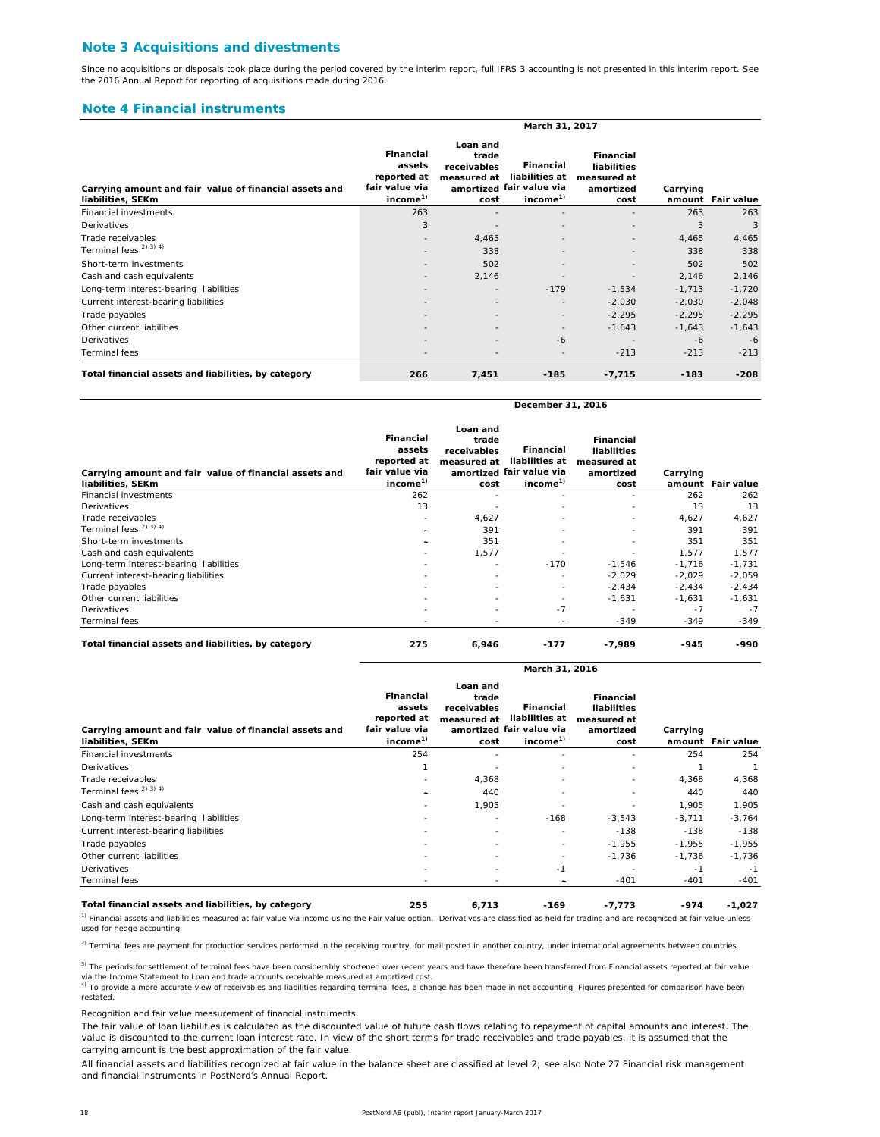#### **Note 3 Acquisitions and divestments**

Since no acquisitions or disposals took place during the period covered by the interim report, full IFRS 3 accounting is not presented in this interim report. See the 2016 Annual Report for reporting of acquisitions made during 2016.

#### **Note 4 Financial instruments**

|                                                                             | March 31, 2017                                                                      |                                                         |                                                                                 |                                                                     |          |                   |  |  |  |
|-----------------------------------------------------------------------------|-------------------------------------------------------------------------------------|---------------------------------------------------------|---------------------------------------------------------------------------------|---------------------------------------------------------------------|----------|-------------------|--|--|--|
| Carrying amount and fair value of financial assets and<br>liabilities, SEKm | <b>Financial</b><br>assets<br>reported at<br>fair value via<br>income <sup>1)</sup> | Loan and<br>trade<br>receivables<br>measured at<br>cost | Financial<br>liabilities at<br>amortized fair value via<br>income <sup>1)</sup> | <b>Financial</b><br>liabilities<br>measured at<br>amortized<br>cost | Carrying | amount Fair value |  |  |  |
| <b>Financial investments</b>                                                | 263                                                                                 |                                                         |                                                                                 |                                                                     | 263      | 263               |  |  |  |
| Derivatives                                                                 | 3                                                                                   |                                                         | $\overline{\phantom{a}}$                                                        |                                                                     | 3        | 3                 |  |  |  |
| Trade receivables                                                           | $\qquad \qquad =\qquad$                                                             | 4,465                                                   |                                                                                 | $\qquad \qquad \blacksquare$                                        | 4,465    | 4,465             |  |  |  |
| Terminal fees <sup>2)</sup> 3) <sup>4</sup> )                               |                                                                                     | 338                                                     |                                                                                 |                                                                     | 338      | 338               |  |  |  |
| Short-term investments                                                      |                                                                                     | 502                                                     | $\overline{\phantom{a}}$                                                        |                                                                     | 502      | 502               |  |  |  |
| Cash and cash equivalents                                                   |                                                                                     | 2,146                                                   |                                                                                 |                                                                     | 2,146    | 2,146             |  |  |  |
| Long-term interest-bearing liabilities                                      |                                                                                     |                                                         | $-179$                                                                          | $-1,534$                                                            | $-1,713$ | $-1,720$          |  |  |  |
| Current interest-bearing liabilities                                        |                                                                                     | $\overline{\phantom{a}}$                                | $\overline{\phantom{a}}$                                                        | $-2,030$                                                            | $-2,030$ | $-2,048$          |  |  |  |
| Trade payables                                                              |                                                                                     |                                                         | $\overline{\phantom{a}}$                                                        | $-2,295$                                                            | $-2,295$ | $-2,295$          |  |  |  |
| Other current liabilities                                                   |                                                                                     |                                                         | $\overline{\phantom{a}}$                                                        | $-1,643$                                                            | $-1,643$ | $-1,643$          |  |  |  |
| Derivatives                                                                 | ۰                                                                                   | $\overline{\phantom{a}}$                                | -6                                                                              |                                                                     | $-6$     | $-6$              |  |  |  |
| Terminal fees                                                               | ۰                                                                                   |                                                         |                                                                                 | $-213$                                                              | $-213$   | $-213$            |  |  |  |
| Total financial assets and liabilities, by category                         | 266                                                                                 | 7,451                                                   | $-185$                                                                          | $-7,715$                                                            | $-183$   | $-208$            |  |  |  |

**December 31, 2016**

**March 31, 2016**

| Carrying amount and fair value of financial assets and<br>liabilities, SEKm | <b>Financial</b><br>assets<br>reported at<br>fair value via<br>income <sup>1)</sup> | Loan and<br>trade<br>receivables<br>measured at<br>cost | <b>Financial</b><br>liabilities at<br>amortized fair value via<br>income <sup>1)</sup> | <b>Financial</b><br>liabilities<br>measured at<br>amortized<br>cost | Carrying | amount Fair value |
|-----------------------------------------------------------------------------|-------------------------------------------------------------------------------------|---------------------------------------------------------|----------------------------------------------------------------------------------------|---------------------------------------------------------------------|----------|-------------------|
| <b>Financial investments</b>                                                | 262                                                                                 |                                                         |                                                                                        | ۰                                                                   | 262      | 262               |
| Derivatives                                                                 | 13                                                                                  |                                                         | ۰                                                                                      |                                                                     | 13       | 13                |
| Trade receivables                                                           | ۰                                                                                   | 4,627                                                   | ٠                                                                                      | ۰                                                                   | 4,627    | 4,627             |
| Terminal fees <sup>2)</sup> <sup>3)</sup> <sup>4)</sup>                     |                                                                                     | 391                                                     | ۰                                                                                      |                                                                     | 391      | 391               |
| Short-term investments                                                      | $\equiv$                                                                            | 351                                                     | ٠                                                                                      |                                                                     | 351      | 351               |
| Cash and cash equivalents                                                   | ۰                                                                                   | 1,577                                                   |                                                                                        |                                                                     | 1.577    | 1,577             |
| Long-term interest-bearing liabilities                                      | ۰                                                                                   |                                                         | $-170$                                                                                 | $-1,546$                                                            | $-1,716$ | $-1,731$          |
| Current interest-bearing liabilities                                        | ۰                                                                                   |                                                         | ۰                                                                                      | $-2,029$                                                            | $-2,029$ | $-2,059$          |
| Trade payables                                                              |                                                                                     |                                                         | ٠                                                                                      | $-2,434$                                                            | $-2,434$ | $-2,434$          |
| Other current liabilities                                                   |                                                                                     |                                                         | ٠                                                                                      | $-1,631$                                                            | $-1,631$ | $-1,631$          |
| Derivatives                                                                 |                                                                                     |                                                         | $-7$                                                                                   |                                                                     | $-7$     | $-7$              |
| Terminal fees                                                               | ۰                                                                                   |                                                         | $\equiv$                                                                               | $-349$                                                              | $-349$   | $-349$            |
| Total financial assets and liabilities, by category                         | 275                                                                                 | 6,946                                                   | $-177$                                                                                 | $-7,989$                                                            | $-945$   | -990              |

| Carrying amount and fair value of financial assets and<br>liabilities, SEKm | Financial<br>assets<br>reported at<br>fair value via<br>income <sup>1)</sup> | Loan and<br>trade<br>receivables<br>measured at<br>cost | <b>Financial</b><br>liabilities at<br>amortized fair value via<br>income <sup>1)</sup> | <b>Financial</b><br>liabilities<br>measured at<br>amortized<br>cost | Carrying | amount Fair value |
|-----------------------------------------------------------------------------|------------------------------------------------------------------------------|---------------------------------------------------------|----------------------------------------------------------------------------------------|---------------------------------------------------------------------|----------|-------------------|
| <b>Financial investments</b>                                                | 254                                                                          |                                                         |                                                                                        |                                                                     | 254      | 254               |
| Derivatives                                                                 |                                                                              |                                                         |                                                                                        | ۰                                                                   |          |                   |
| Trade receivables                                                           |                                                                              | 4,368                                                   |                                                                                        | ۰.                                                                  | 4,368    | 4,368             |
| Terminal fees <sup>2)</sup> 3) <sup>4</sup> )                               |                                                                              | 440                                                     |                                                                                        |                                                                     | 440      | 440               |
| Cash and cash equivalents                                                   | ٠                                                                            | 1,905                                                   |                                                                                        | ۰                                                                   | 1,905    | 1,905             |
| Long-term interest-bearing liabilities                                      | ٠                                                                            | ٠                                                       | $-168$                                                                                 | $-3,543$                                                            | $-3,711$ | $-3,764$          |
| Current interest-bearing liabilities                                        | ۰.                                                                           | $\sim$                                                  |                                                                                        | $-138$                                                              | $-138$   | $-138$            |
| Trade payables                                                              | ۰.                                                                           | $\sim$                                                  | ٠                                                                                      | $-1,955$                                                            | $-1,955$ | $-1,955$          |
| Other current liabilities                                                   | ٠                                                                            | ٠                                                       | ٠                                                                                      | $-1,736$                                                            | $-1,736$ | $-1,736$          |
| Derivatives                                                                 |                                                                              | $\sim$                                                  | -1                                                                                     |                                                                     | $-1$     | $-1$              |
| Terminal fees                                                               |                                                                              |                                                         | $\overline{\phantom{0}}$                                                               | $-401$                                                              | $-401$   | -401              |
| Total financial assets and liabilities, by category                         | 255                                                                          | 6,713                                                   | $-169$                                                                                 | -7,773                                                              | -974     | $-1,027$          |

 $<sup>1</sup>$  Financial assets and liabilities measured at fair value via income using the Fair value option. Derivatives are classified as held for trading and are recognised at fair value unless</sup> used for hedge accounting.

<sup>2)</sup> Terminal fees are payment for production services performed in the receiving country, for mail posted in another country, under international agreements between countries.

3) The periods for settlement of terminal fees have been considerably shortened over recent years and have therefore been transferred from Financial assets reported at fair value via the Income Statement to Loan and trade accounts receivable measured at amortized cost.<br><sup>4)</sup> To provide a more accurate view of receivables and liabilities regarding terminal fees, a change has been made in net accounti

*Recognition and fair value measurement of financial instruments*

The fair value of loan liabilities is calculated as the discounted value of future cash flows relating to repayment of capital amounts and interest. The value is discounted to the current loan interest rate. In view of the short terms for trade receivables and trade payables, it is assumed that the carrying amount is the best approximation of the fair value.

All financial assets and liabilities recognized at fair value in the balance sheet are classified at level 2; see also Note 27 Financial risk management and financial instruments in PostNord's Annual Report.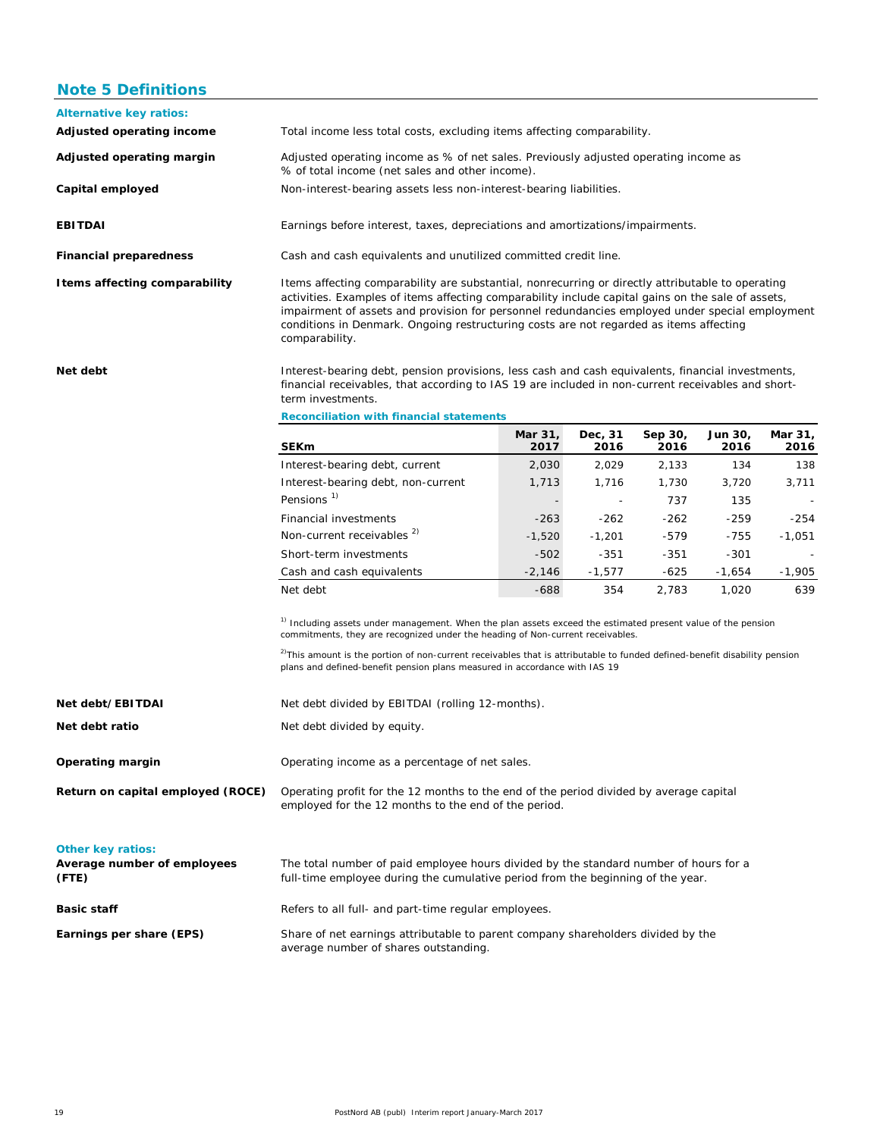## **Note 5 Definitions**

| <b>Alternative key ratios:</b> |                                                                                                                                                                                                                                                                                                                                                                                                                        |                                                                    |                 |                 |                 |                 |  |  |  |  |
|--------------------------------|------------------------------------------------------------------------------------------------------------------------------------------------------------------------------------------------------------------------------------------------------------------------------------------------------------------------------------------------------------------------------------------------------------------------|--------------------------------------------------------------------|-----------------|-----------------|-----------------|-----------------|--|--|--|--|
| Adjusted operating income      | Total income less total costs, excluding items affecting comparability.                                                                                                                                                                                                                                                                                                                                                |                                                                    |                 |                 |                 |                 |  |  |  |  |
| Adjusted operating margin      | Adjusted operating income as % of net sales. Previously adjusted operating income as<br>% of total income (net sales and other income).                                                                                                                                                                                                                                                                                |                                                                    |                 |                 |                 |                 |  |  |  |  |
| Capital employed               |                                                                                                                                                                                                                                                                                                                                                                                                                        | Non-interest-bearing assets less non-interest-bearing liabilities. |                 |                 |                 |                 |  |  |  |  |
| <b>EBITDAI</b>                 | Earnings before interest, taxes, depreciations and amortizations/impairments.                                                                                                                                                                                                                                                                                                                                          |                                                                    |                 |                 |                 |                 |  |  |  |  |
| <b>Financial preparedness</b>  | Cash and cash equivalents and unutilized committed credit line.                                                                                                                                                                                                                                                                                                                                                        |                                                                    |                 |                 |                 |                 |  |  |  |  |
| I tems affecting comparability | Items affecting comparability are substantial, nonrecurring or directly attributable to operating<br>activities. Examples of items affecting comparability include capital gains on the sale of assets,<br>impairment of assets and provision for personnel redundancies employed under special employment<br>conditions in Denmark. Ongoing restructuring costs are not regarded as items affecting<br>comparability. |                                                                    |                 |                 |                 |                 |  |  |  |  |
| Net debt                       | Interest-bearing debt, pension provisions, less cash and cash equivalents, financial investments,<br>financial receivables, that according to IAS 19 are included in non-current receivables and short-<br>term investments.                                                                                                                                                                                           |                                                                    |                 |                 |                 |                 |  |  |  |  |
|                                | <b>Reconciliation with financial statements</b>                                                                                                                                                                                                                                                                                                                                                                        |                                                                    |                 |                 |                 |                 |  |  |  |  |
|                                | <b>SEKm</b>                                                                                                                                                                                                                                                                                                                                                                                                            | Mar 31,<br>2017                                                    | Dec, 31<br>2016 | Sep 30,<br>2016 | Jun 30,<br>2016 | Mar 31,<br>2016 |  |  |  |  |
|                                | Interest-bearing debt, current                                                                                                                                                                                                                                                                                                                                                                                         | 2,030                                                              | 2,029           | 2,133           | 134             | 138             |  |  |  |  |
|                                | Interest-bearing debt, non-current                                                                                                                                                                                                                                                                                                                                                                                     | 1,713                                                              | 1,716           | 1,730           | 3,720           | 3,711           |  |  |  |  |
|                                | Pensions <sup>1)</sup>                                                                                                                                                                                                                                                                                                                                                                                                 |                                                                    |                 | 737             | 135             |                 |  |  |  |  |
|                                | Financial investments                                                                                                                                                                                                                                                                                                                                                                                                  | $-263$                                                             | $-262$          | $-262$          | $-259$          | $-254$          |  |  |  |  |
|                                | Non-current receivables <sup>2)</sup>                                                                                                                                                                                                                                                                                                                                                                                  | $-1,520$                                                           | $-1,201$        | $-579$          | $-755$          | $-1,051$        |  |  |  |  |
|                                | Short-term investments                                                                                                                                                                                                                                                                                                                                                                                                 | $-502$                                                             | $-351$          | $-351$          | $-301$          |                 |  |  |  |  |
|                                | Cash and cash equivalents                                                                                                                                                                                                                                                                                                                                                                                              | $-2,146$                                                           | $-1,577$        | $-625$          | $-1,654$        | $-1,905$        |  |  |  |  |
|                                | Net debt                                                                                                                                                                                                                                                                                                                                                                                                               | $-688$                                                             | 354             | 2,783           | 1,020           | 639             |  |  |  |  |
|                                | <sup>1)</sup> Including assets under management. When the plan assets exceed the estimated present value of the pension<br>commitments, they are recognized under the heading of Non-current receivables.<br><sup>2)</sup> This amount is the portion of non-current receivables that is attributable to funded defined-benefit disability pension                                                                     |                                                                    |                 |                 |                 |                 |  |  |  |  |

| Net debt/EBITDAI                                                 | Net debt divided by EBITDAI (rolling 12-months).                                                                                                                         |
|------------------------------------------------------------------|--------------------------------------------------------------------------------------------------------------------------------------------------------------------------|
| Net debt ratio                                                   | Net debt divided by equity.                                                                                                                                              |
| Operating margin                                                 | Operating income as a percentage of net sales.                                                                                                                           |
| Return on capital employed (ROCE)                                | Operating profit for the 12 months to the end of the period divided by average capital<br>employed for the 12 months to the end of the period.                           |
| <b>Other key ratios:</b><br>Average number of employees<br>(FTE) | The total number of paid employee hours divided by the standard number of hours for a<br>full-time employee during the cumulative period from the beginning of the year. |
| <b>Basic staff</b>                                               | Refers to all full- and part-time regular employees.                                                                                                                     |
| Earnings per share (EPS)                                         | Share of net earnings attributable to parent company shareholders divided by the<br>average number of shares outstanding.                                                |

plans and defined-benefit pension plans measured in accordance with IAS 19